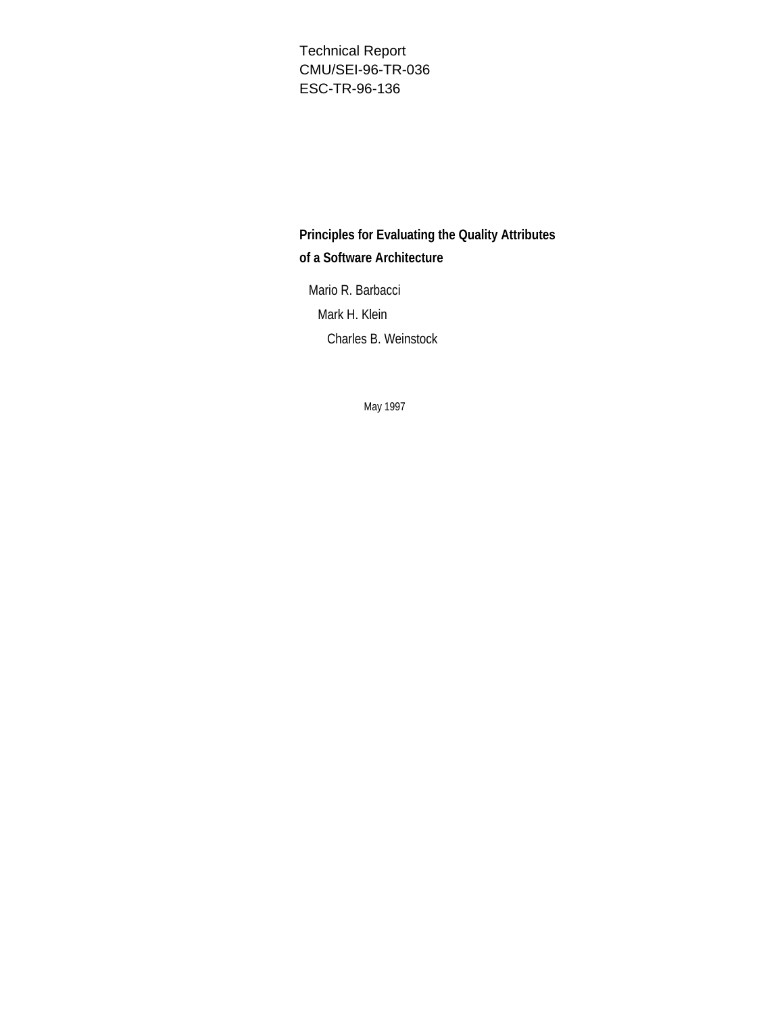Technical Report CMU/SEI-96-TR-036 ESC-TR-96-136

### **Principles for Evaluating the Quality Attributes of a Software Architecture**

Mario R. Barbacci Mark H. Klein Charles B. Weinstock

May 1997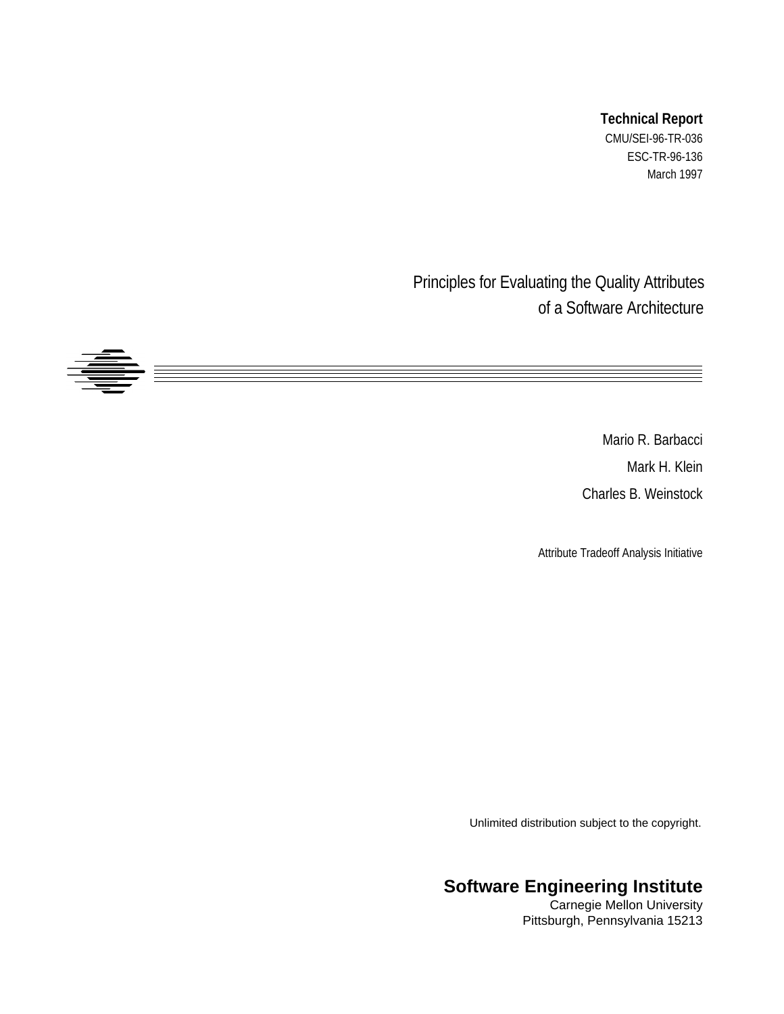#### **Technical Report**

CMU/SEI-96-TR-036 ESC-TR-96-136 March 1997

Principles for Evaluating the Quality Attributes of a Software Architecture



Mario R. Barbacci Mark H. Klein Charles B. Weinstock

Attribute Tradeoff Analysis Initiative

Unlimited distribution subject to the copyright.

### **Software Engineering Institute**

Carnegie Mellon University Pittsburgh, Pennsylvania 15213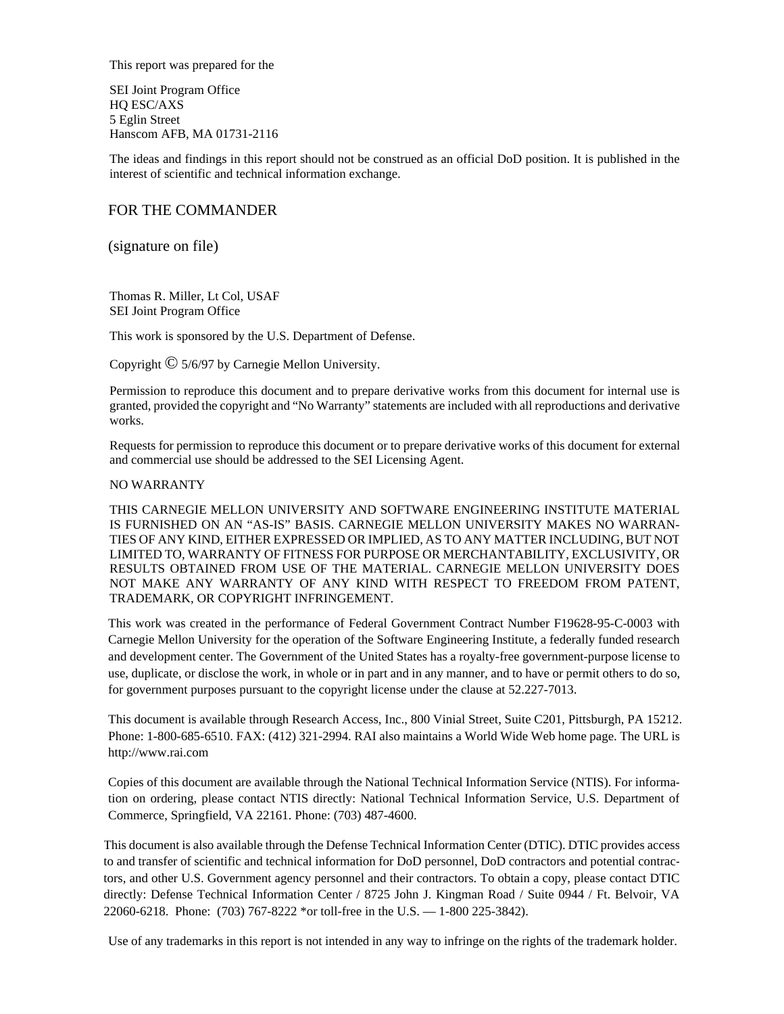This report was prepared for the

SEI Joint Program Office HQ ESC/AXS 5 Eglin Street Hanscom AFB, MA 01731-2116

The ideas and findings in this report should not be construed as an official DoD position. It is published in the interest of scientific and technical information exchange.

#### FOR THE COMMANDER

(signature on file)

Thomas R. Miller, Lt Col, USAF SEI Joint Program Office

This work is sponsored by the U.S. Department of Defense.

Copyright © 5/6/97 by Carnegie Mellon University.

Permission to reproduce this document and to prepare derivative works from this document for internal use is granted, provided the copyright and "No Warranty" statements are included with all reproductions and derivative works.

Requests for permission to reproduce this document or to prepare derivative works of this document for external and commercial use should be addressed to the SEI Licensing Agent.

#### NO WARRANTY

THIS CARNEGIE MELLON UNIVERSITY AND SOFTWARE ENGINEERING INSTITUTE MATERIAL IS FURNISHED ON AN "AS-IS" BASIS. CARNEGIE MELLON UNIVERSITY MAKES NO WARRAN-TIES OF ANY KIND, EITHER EXPRESSED OR IMPLIED, AS TO ANY MATTER INCLUDING, BUT NOT LIMITED TO, WARRANTY OF FITNESS FOR PURPOSE OR MERCHANTABILITY, EXCLUSIVITY, OR RESULTS OBTAINED FROM USE OF THE MATERIAL. CARNEGIE MELLON UNIVERSITY DOES NOT MAKE ANY WARRANTY OF ANY KIND WITH RESPECT TO FREEDOM FROM PATENT, TRADEMARK, OR COPYRIGHT INFRINGEMENT.

This work was created in the performance of Federal Government Contract Number F19628-95-C-0003 with Carnegie Mellon University for the operation of the Software Engineering Institute, a federally funded research and development center. The Government of the United States has a royalty-free government-purpose license to use, duplicate, or disclose the work, in whole or in part and in any manner, and to have or permit others to do so, for government purposes pursuant to the copyright license under the clause at 52.227-7013.

This document is available through Research Access, Inc., 800 Vinial Street, Suite C201, Pittsburgh, PA 15212. Phone: 1-800-685-6510. FAX: (412) 321-2994. RAI also maintains a World Wide Web home page. The URL is http://www.rai.com

Copies of this document are available through the National Technical Information Service (NTIS). For information on ordering, please contact NTIS directly: National Technical Information Service, U.S. Department of Commerce, Springfield, VA 22161. Phone: (703) 487-4600.

This document is also available through the Defense Technical Information Center (DTIC). DTIC provides access to and transfer of scientific and technical information for DoD personnel, DoD contractors and potential contractors, and other U.S. Government agency personnel and their contractors. To obtain a copy, please contact DTIC directly: Defense Technical Information Center / 8725 John J. Kingman Road / Suite 0944 / Ft. Belvoir, VA 22060-6218. Phone: (703) 767-8222 \*or toll-free in the U.S. — 1-800 225-3842).

Use of any trademarks in this report is not intended in any way to infringe on the rights of the trademark holder.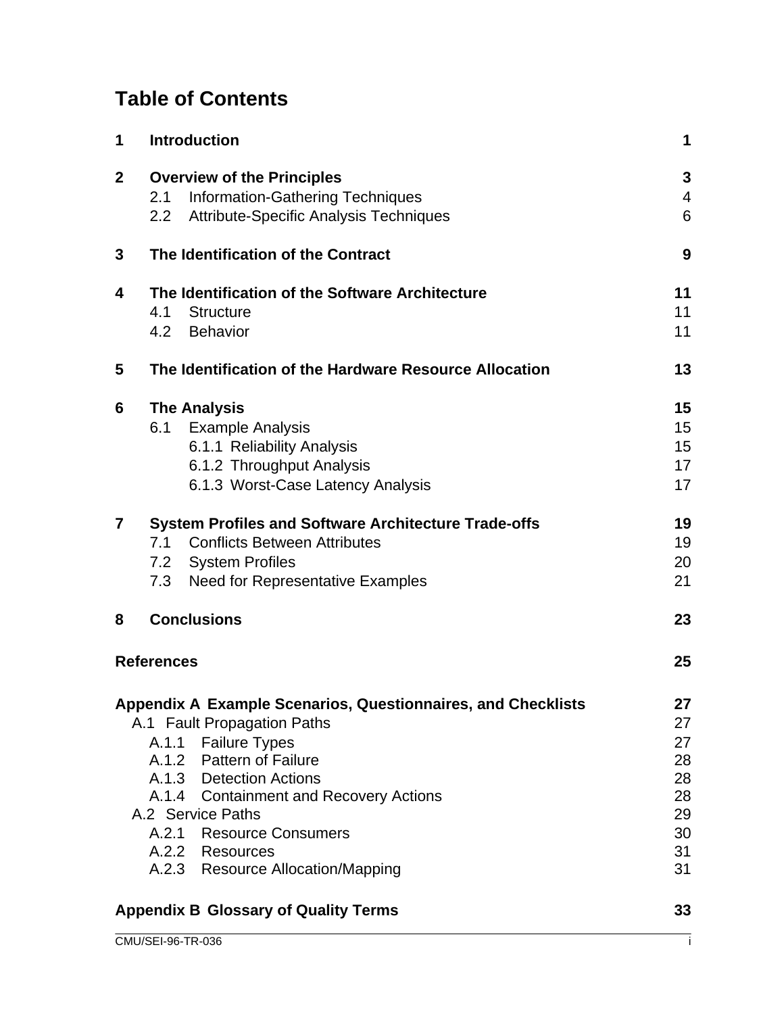## **[Table of Contents](#page-8-0)**

| 1              | <b>Introduction</b>                                               | 1        |
|----------------|-------------------------------------------------------------------|----------|
| $\mathbf 2$    | <b>Overview of the Principles</b>                                 | 3        |
|                | Information-Gathering Techniques<br>2.1                           | 4        |
|                | <b>Attribute-Specific Analysis Techniques</b><br>$2.2\phantom{0}$ | 6        |
| 3              | The Identification of the Contract                                | 9        |
| 4              | The Identification of the Software Architecture                   | 11       |
|                | 4.1<br><b>Structure</b>                                           | 11       |
|                | Behavior<br>4.2                                                   | 11       |
| 5              | The Identification of the Hardware Resource Allocation            | 13       |
| 6              | <b>The Analysis</b>                                               | 15       |
|                | <b>Example Analysis</b><br>6.1                                    | 15       |
|                | 6.1.1 Reliability Analysis                                        | 15       |
|                | 6.1.2 Throughput Analysis                                         | 17       |
|                | 6.1.3 Worst-Case Latency Analysis                                 | 17       |
| $\overline{7}$ | <b>System Profiles and Software Architecture Trade-offs</b>       | 19       |
|                | 7.1<br><b>Conflicts Between Attributes</b>                        | 19       |
|                | 7.2 System Profiles                                               | 20       |
|                | 7.3 Need for Representative Examples                              | 21       |
| 8              | <b>Conclusions</b>                                                | 23       |
|                | <b>References</b>                                                 | 25       |
|                | Appendix A Example Scenarios, Questionnaires, and Checklists      | 27       |
|                | A.1 Fault Propagation Paths                                       | 27       |
|                | A.1.1 Failure Types                                               | 27       |
|                | A.1.2 Pattern of Failure                                          | 28       |
|                | A.1.3 Detection Actions<br>A.1.4 Containment and Recovery Actions | 28<br>28 |
|                | A.2 Service Paths                                                 | 29       |
|                | A.2.1 Resource Consumers                                          | 30       |
|                | A.2.2 Resources                                                   | 31       |
|                | A.2.3 Resource Allocation/Mapping                                 | 31       |
|                | <b>Appendix B Glossary of Quality Terms</b>                       | 33       |
|                |                                                                   |          |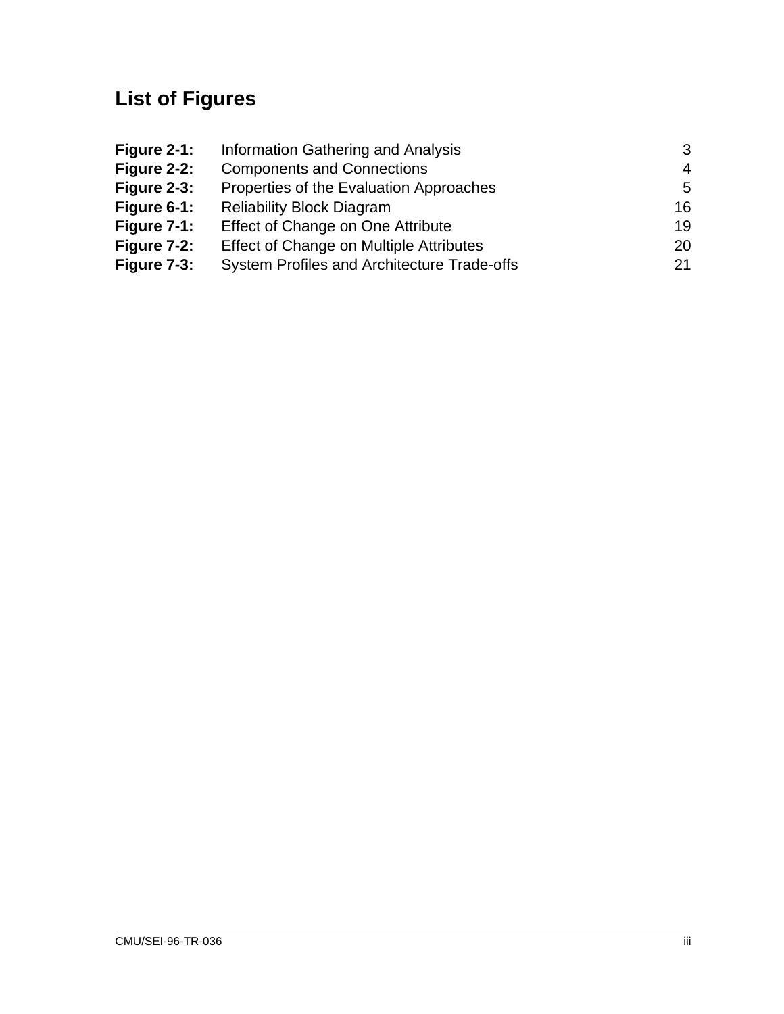# **List of Figures**

| Figure $2-1$ : | Information Gathering and Analysis                 | 3  |
|----------------|----------------------------------------------------|----|
| Figure 2-2:    | <b>Components and Connections</b>                  | 4  |
| Figure 2-3:    | Properties of the Evaluation Approaches            | 5  |
| Figure 6-1:    | <b>Reliability Block Diagram</b>                   | 16 |
| Figure $7-1$ : | Effect of Change on One Attribute                  | 19 |
| Figure 7-2:    | Effect of Change on Multiple Attributes            | 20 |
| Figure 7-3:    | <b>System Profiles and Architecture Trade-offs</b> | 21 |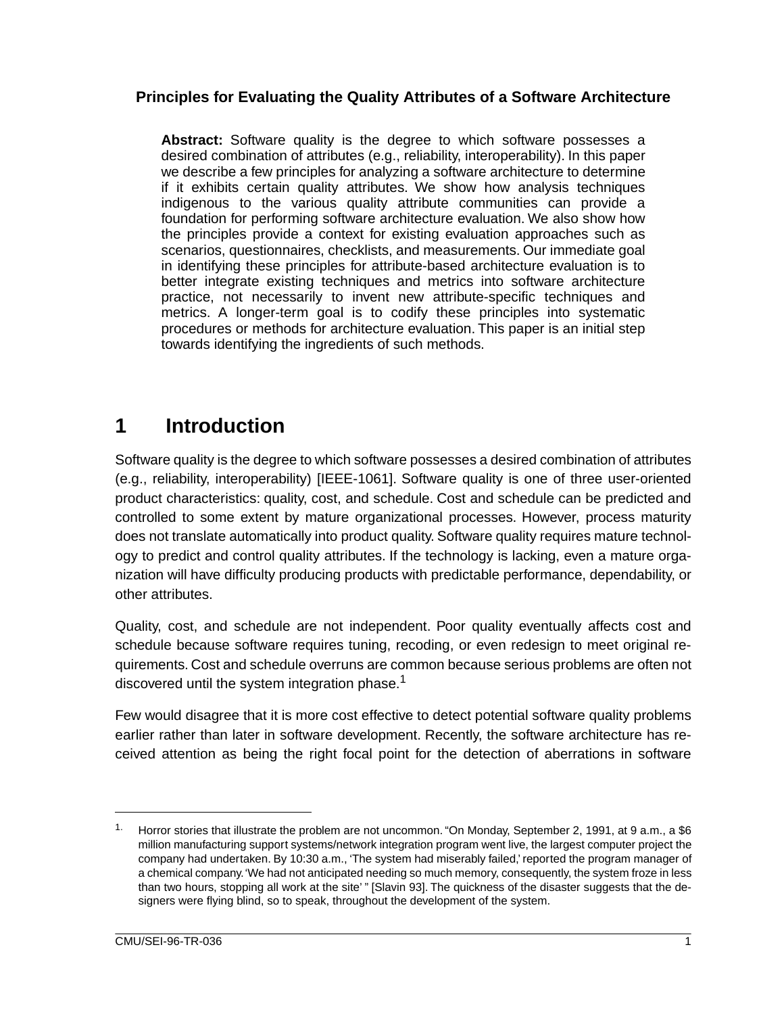#### <span id="page-8-0"></span>**Principles for Evaluating the Quality Attributes of a Software Architecture**

**Abstract:** Software quality is the degree to which software possesses a desired combination of attributes (e.g., reliability, interoperability). In this paper we describe a few principles for analyzing a software architecture to determine if it exhibits certain quality attributes. We show how analysis techniques indigenous to the various quality attribute communities can provide a foundation for performing software architecture evaluation. We also show how the principles provide a context for existing evaluation approaches such as scenarios, questionnaires, checklists, and measurements. Our immediate goal in identifying these principles for attribute-based architecture evaluation is to better integrate existing techniques and metrics into software architecture practice, not necessarily to invent new attribute-specific techniques and metrics. A longer-term goal is to codify these principles into systematic procedures or methods for architecture evaluation. This paper is an initial step towards identifying the ingredients of such methods.

## **1 Introduction**

Software quality is the degree to which software possesses a desired combination of attributes (e.g., reliability, interoperability) [IEEE-1061]. Software quality is one of three user-oriented product characteristics: quality, cost, and schedule. Cost and schedule can be predicted and controlled to some extent by mature organizational processes. However, process maturity does not translate automatically into product quality. Software quality requires mature technology to predict and control quality attributes. If the technology is lacking, even a mature organization will have difficulty producing products with predictable performance, dependability, or other attributes.

Quality, cost, and schedule are not independent. Poor quality eventually affects cost and schedule because software requires tuning, recoding, or even redesign to meet original requirements. Cost and schedule overruns are common because serious problems are often not discovered until the system integration phase.<sup>1</sup>

Few would disagree that it is more cost effective to detect potential software quality problems earlier rather than later in software development. Recently, the software architecture has received attention as being the right focal point for the detection of aberrations in software

<sup>&</sup>lt;sup>1.</sup> Horror stories that illustrate the problem are not uncommon. "On Monday, September 2, 1991, at 9 a.m., a \$6 million manufacturing support systems/network integration program went live, the largest computer project the company had undertaken. By 10:30 a.m., 'The system had miserably failed,' reported the program manager of a chemical company. 'We had not anticipated needing so much memory, consequently, the system froze in less than two hours, stopping all work at the site' " [Slavin 93]. The quickness of the disaster suggests that the designers were flying blind, so to speak, throughout the development of the system.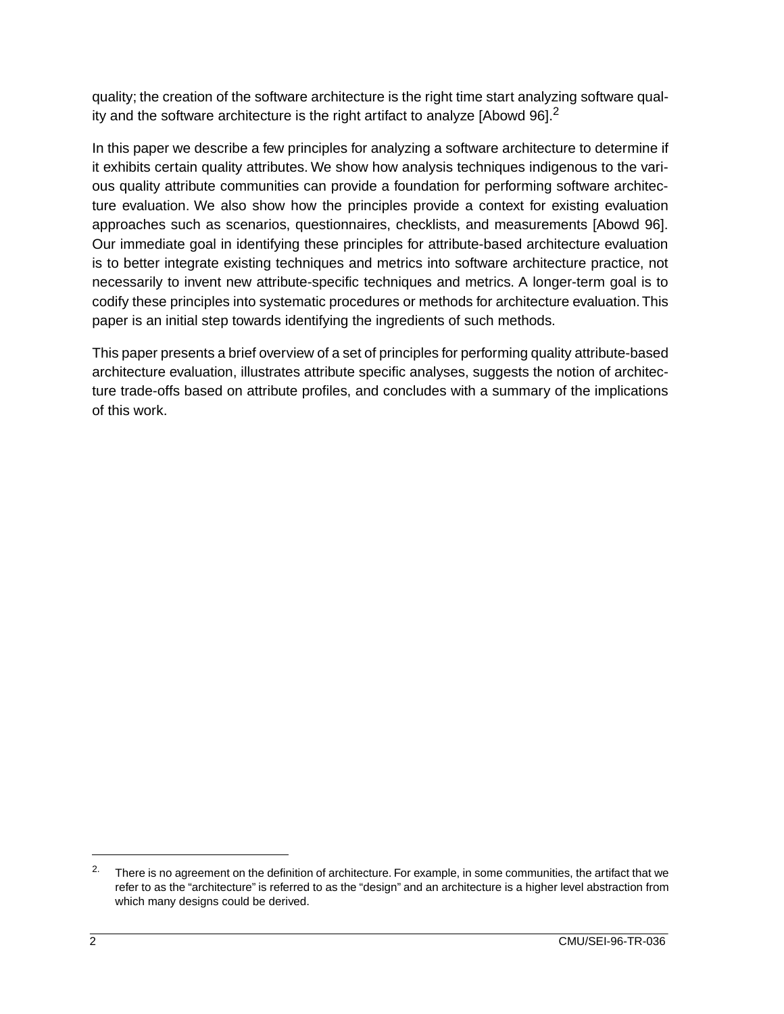quality; the creation of the software architecture is the right time start analyzing software quality and the software architecture is the right artifact to analyze [Abowd 96]. $^2$ 

In this paper we describe a few principles for analyzing a software architecture to determine if it exhibits certain quality attributes. We show how analysis techniques indigenous to the various quality attribute communities can provide a foundation for performing software architecture evaluation. We also show how the principles provide a context for existing evaluation approaches such as scenarios, questionnaires, checklists, and measurements [Abowd 96]. Our immediate goal in identifying these principles for attribute-based architecture evaluation is to better integrate existing techniques and metrics into software architecture practice, not necessarily to invent new attribute-specific techniques and metrics. A longer-term goal is to codify these principles into systematic procedures or methods for architecture evaluation. This paper is an initial step towards identifying the ingredients of such methods.

This paper presents a brief overview of a set of principles for performing quality attribute-based architecture evaluation, illustrates attribute specific analyses, suggests the notion of architecture trade-offs based on attribute profiles, and concludes with a summary of the implications of this work.

<sup>&</sup>lt;sup>2.</sup> There is no agreement on the definition of architecture. For example, in some communities, the artifact that we refer to as the "architecture" is referred to as the "design" and an architecture is a higher level abstraction from which many designs could be derived.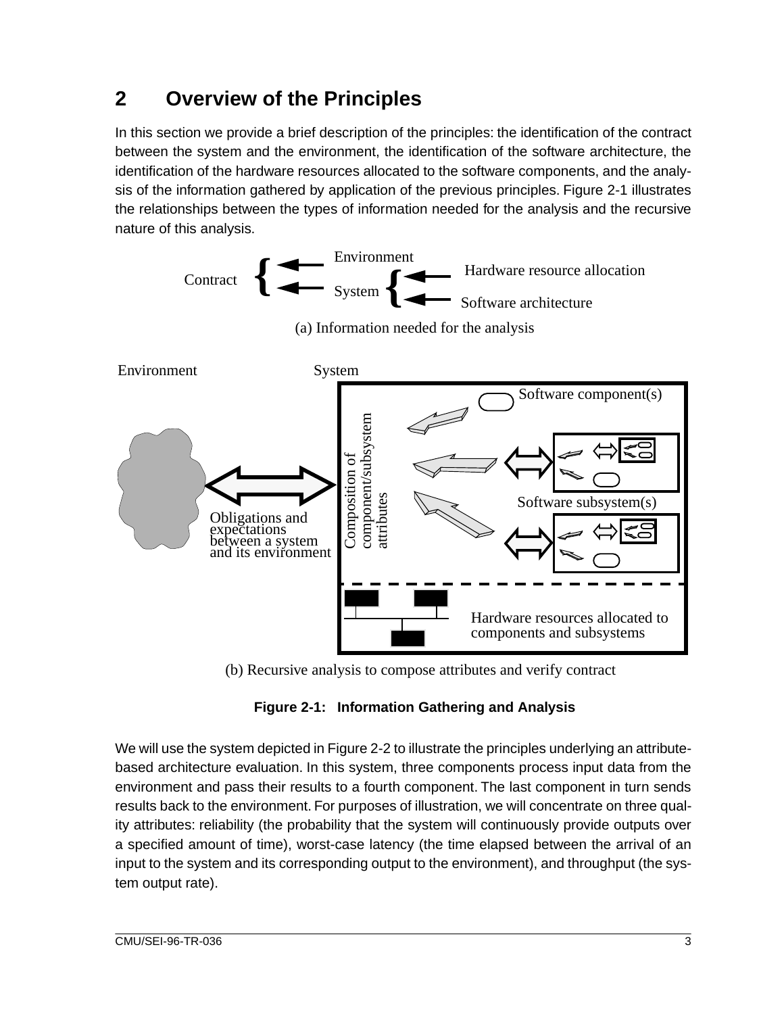## <span id="page-10-0"></span>**2 Overview of the Principles**

In this section we provide a brief description of the principles: the identification of the contract between the system and the environment, the identification of the software architecture, the identification of the hardware resources allocated to the software components, and the analysis of the information gathered by application of the previous principles. Figure 2-1 illustrates the relationships between the types of information needed for the analysis and the recursive nature of this analysis.



(b) Recursive analysis to compose attributes and verify contract



We will use the system depicted in [Figure 2-2](#page-11-0) to illustrate the principles underlying an attributebased architecture evaluation. In this system, three components process input data from the environment and pass their results to a fourth component. The last component in turn sends results back to the environment. For purposes of illustration, we will concentrate on three quality attributes: reliability (the probability that the system will continuously provide outputs over a specified amount of time), worst-case latency (the time elapsed between the arrival of an input to the system and its corresponding output to the environment), and throughput (the system output rate).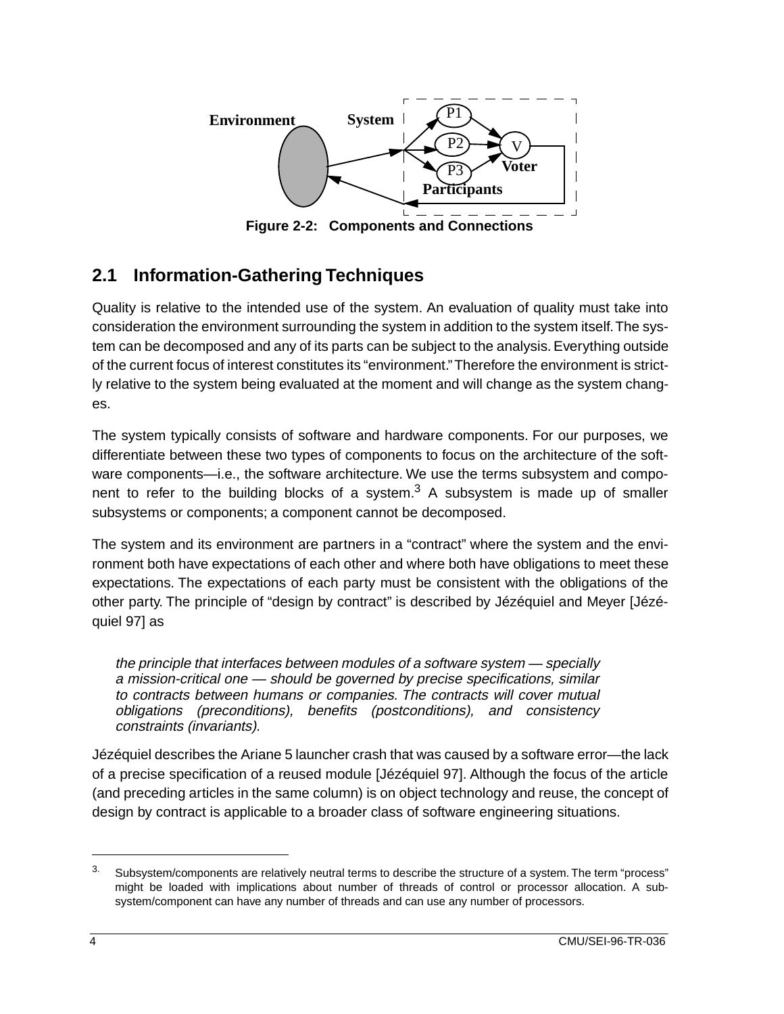<span id="page-11-0"></span>

**Figure 2-2: Components and Connections**

### **2.1 Information-Gathering Techniques**

Quality is relative to the intended use of the system. An evaluation of quality must take into consideration the environment surrounding the system in addition to the system itself. The system can be decomposed and any of its parts can be subject to the analysis. Everything outside of the current focus of interest constitutes its "environment." Therefore the environment is strictly relative to the system being evaluated at the moment and will change as the system changes.

The system typically consists of software and hardware components. For our purposes, we differentiate between these two types of components to focus on the architecture of the software components—i.e., the software architecture. We use the terms subsystem and component to refer to the building blocks of a system.<sup>3</sup> A subsystem is made up of smaller subsystems or components; a component cannot be decomposed.

The system and its environment are partners in a "contract" where the system and the environment both have expectations of each other and where both have obligations to meet these expectations. The expectations of each party must be consistent with the obligations of the other party. The principle of "design by contract" is described by Jézéquiel and Meyer [Jézéquiel 97] as

the principle that interfaces between modules of a software system — specially a mission-critical one — should be governed by precise specifications, similar to contracts between humans or companies. The contracts will cover mutual obligations (preconditions), benefits (postconditions), and consistency constraints (invariants).

Jézéquiel describes the Ariane 5 launcher crash that was caused by a software error—the lack of a precise specification of a reused module [Jézéquiel 97]. Although the focus of the article (and preceding articles in the same column) is on object technology and reuse, the concept of design by contract is applicable to a broader class of software engineering situations.

 $3.$  Subsystem/components are relatively neutral terms to describe the structure of a system. The term "process" might be loaded with implications about number of threads of control or processor allocation. A subsystem/component can have any number of threads and can use any number of processors.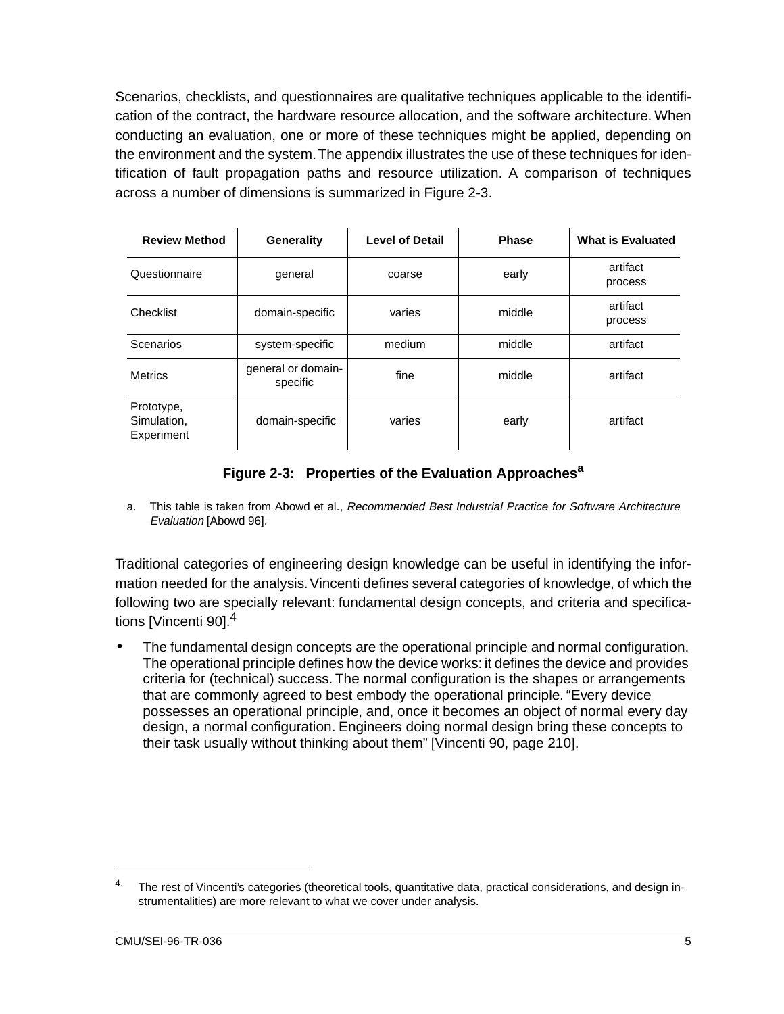<span id="page-12-0"></span>Scenarios, checklists, and questionnaires are qualitative techniques applicable to the identification of the contract, the hardware resource allocation, and the software architecture. When conducting an evaluation, one or more of these techniques might be applied, depending on the environment and the system. The appendix illustrates the use of these techniques for identification of fault propagation paths and resource utilization. A comparison of techniques across a number of dimensions is summarized in Figure 2-3.

| <b>Review Method</b>                    | <b>Generality</b>              | <b>Level of Detail</b> | <b>Phase</b> | What is Evaluated   |
|-----------------------------------------|--------------------------------|------------------------|--------------|---------------------|
| Questionnaire                           | general                        | coarse                 | early        | artifact<br>process |
| Checklist                               | domain-specific                | varies                 | middle       | artifact<br>process |
| Scenarios                               | system-specific                | medium                 | middle       | artifact            |
| <b>Metrics</b>                          | general or domain-<br>specific | fine                   | middle       | artifact            |
| Prototype,<br>Simulation,<br>Experiment | domain-specific                | varies                 | early        | artifact            |

#### **Figure 2-3: Properties of the Evaluation Approachesa**

a. This table is taken from Abowd et al., Recommended Best Industrial Practice for Software Architecture Evaluation [Abowd 96].

Traditional categories of engineering design knowledge can be useful in identifying the information needed for the analysis. Vincenti defines several categories of knowledge, of which the following two are specially relevant: fundamental design concepts, and criteria and specifications [Vincenti 90].<sup>4</sup>

• The fundamental design concepts are the operational principle and normal configuration. The operational principle defines how the device works: it defines the device and provides criteria for (technical) success. The normal configuration is the shapes or arrangements that are commonly agreed to best embody the operational principle. "Every device possesses an operational principle, and, once it becomes an object of normal every day design, a normal configuration. Engineers doing normal design bring these concepts to their task usually without thinking about them" [Vincenti 90, page 210].

<sup>&</sup>lt;sup>4.</sup> The rest of Vincenti's categories (theoretical tools, quantitative data, practical considerations, and design instrumentalities) are more relevant to what we cover under analysis.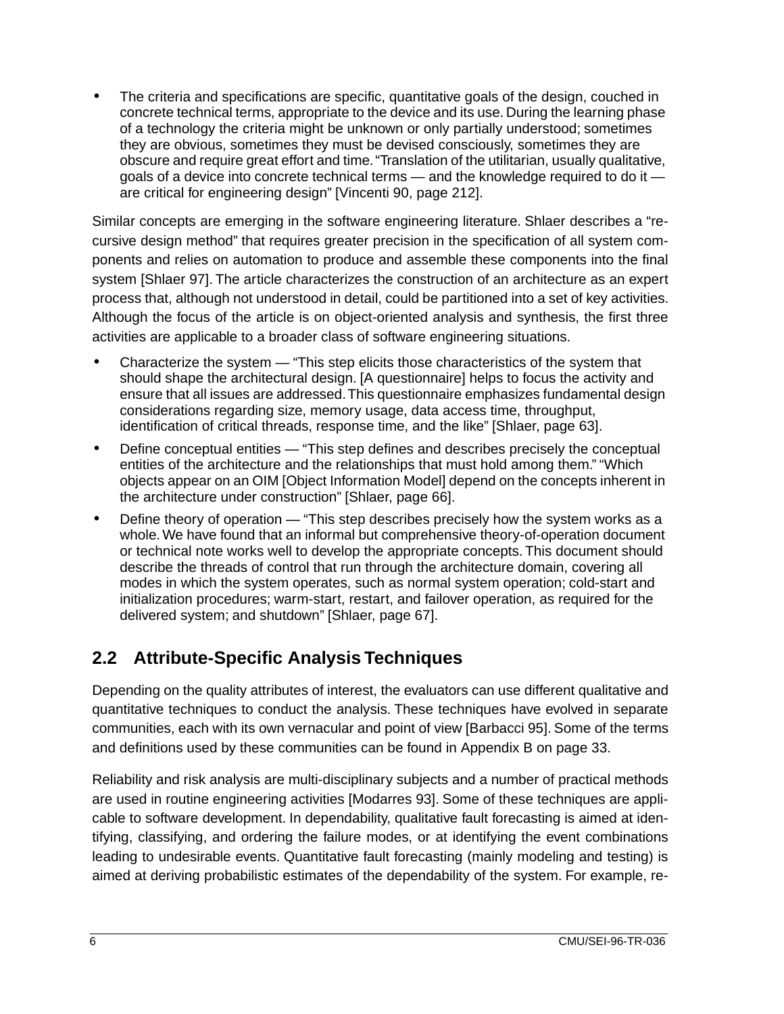<span id="page-13-0"></span>• The criteria and specifications are specific, quantitative goals of the design, couched in concrete technical terms, appropriate to the device and its use. During the learning phase of a technology the criteria might be unknown or only partially understood; sometimes they are obvious, sometimes they must be devised consciously, sometimes they are obscure and require great effort and time. "Translation of the utilitarian, usually qualitative, goals of a device into concrete technical terms — and the knowledge required to do it are critical for engineering design" [Vincenti 90, page 212].

Similar concepts are emerging in the software engineering literature. Shlaer describes a "recursive design method" that requires greater precision in the specification of all system components and relies on automation to produce and assemble these components into the final system [Shlaer 97]. The article characterizes the construction of an architecture as an expert process that, although not understood in detail, could be partitioned into a set of key activities. Although the focus of the article is on object-oriented analysis and synthesis, the first three activities are applicable to a broader class of software engineering situations.

- Characterize the system "This step elicits those characteristics of the system that should shape the architectural design. [A questionnaire] helps to focus the activity and ensure that all issues are addressed. This questionnaire emphasizes fundamental design considerations regarding size, memory usage, data access time, throughput, identification of critical threads, response time, and the like" [Shlaer, page 63].
- Define conceptual entities "This step defines and describes precisely the conceptual entities of the architecture and the relationships that must hold among them." "Which objects appear on an OIM [Object Information Model] depend on the concepts inherent in the architecture under construction" [Shlaer, page 66].
- Define theory of operation "This step describes precisely how the system works as a whole. We have found that an informal but comprehensive theory-of-operation document or technical note works well to develop the appropriate concepts. This document should describe the threads of control that run through the architecture domain, covering all modes in which the system operates, such as normal system operation; cold-start and initialization procedures; warm-start, restart, and failover operation, as required for the delivered system; and shutdown" [Shlaer, page 67].

## **2.2 Attribute-Specific Analysis Techniques**

Depending on the quality attributes of interest, the evaluators can use different qualitative and quantitative techniques to conduct the analysis. These techniques have evolved in separate communities, each with its own vernacular and point of view [Barbacci 95]. Some of the terms and definitions used by these communities can be found in [Appendix B](#page-40-0) on [page 33](#page-40-0).

Reliability and risk analysis are multi-disciplinary subjects and a number of practical methods are used in routine engineering activities [Modarres 93]. Some of these techniques are applicable to software development. In dependability, qualitative fault forecasting is aimed at identifying, classifying, and ordering the failure modes, or at identifying the event combinations leading to undesirable events. Quantitative fault forecasting (mainly modeling and testing) is aimed at deriving probabilistic estimates of the dependability of the system. For example, re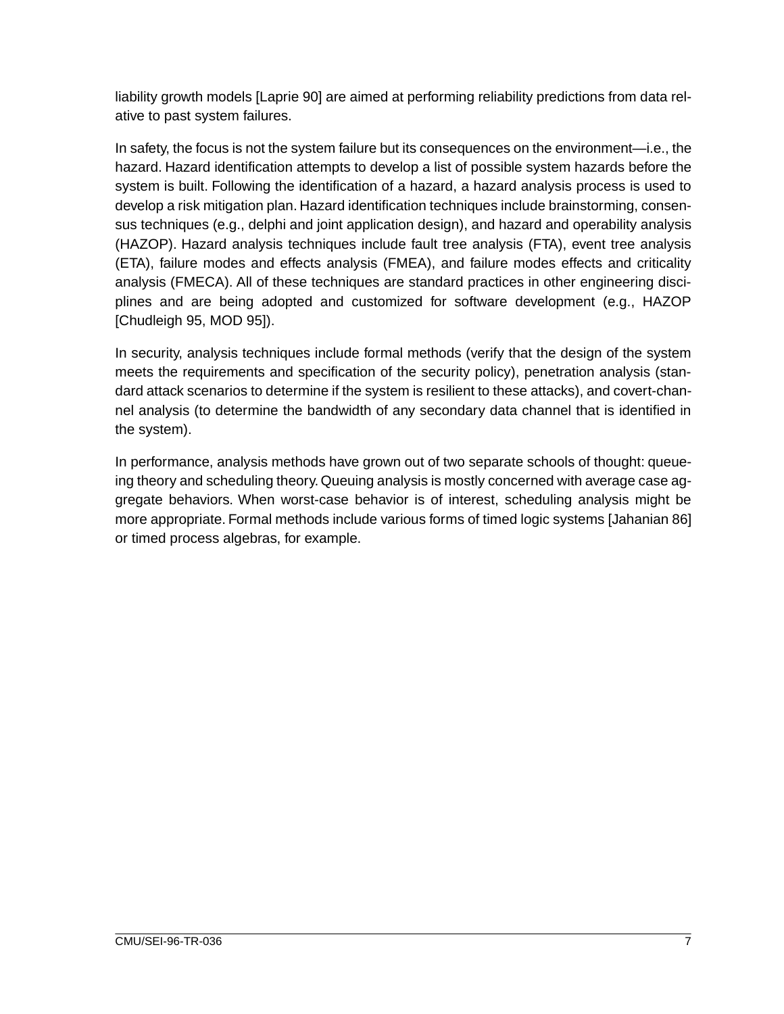liability growth models [Laprie 90] are aimed at performing reliability predictions from data relative to past system failures.

In safety, the focus is not the system failure but its consequences on the environment—i.e., the hazard. Hazard identification attempts to develop a list of possible system hazards before the system is built. Following the identification of a hazard, a hazard analysis process is used to develop a risk mitigation plan. Hazard identification techniques include brainstorming, consensus techniques (e.g., delphi and joint application design), and hazard and operability analysis (HAZOP). Hazard analysis techniques include fault tree analysis (FTA), event tree analysis (ETA), failure modes and effects analysis (FMEA), and failure modes effects and criticality analysis (FMECA). All of these techniques are standard practices in other engineering disciplines and are being adopted and customized for software development (e.g., HAZOP [Chudleigh 95, MOD 95]).

In security, analysis techniques include formal methods (verify that the design of the system meets the requirements and specification of the security policy), penetration analysis (standard attack scenarios to determine if the system is resilient to these attacks), and covert-channel analysis (to determine the bandwidth of any secondary data channel that is identified in the system).

In performance, analysis methods have grown out of two separate schools of thought: queueing theory and scheduling theory. Queuing analysis is mostly concerned with average case aggregate behaviors. When worst-case behavior is of interest, scheduling analysis might be more appropriate. Formal methods include various forms of timed logic systems [Jahanian 86] or timed process algebras, for example.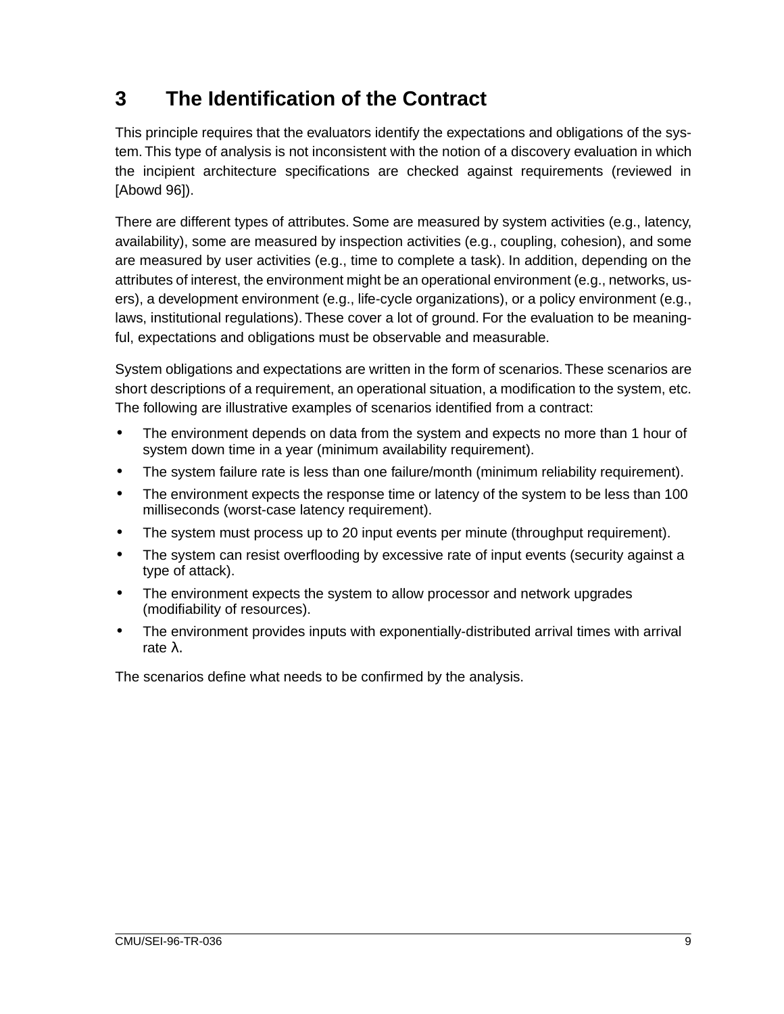## <span id="page-16-0"></span>**3 The Identification of the Contract**

This principle requires that the evaluators identify the expectations and obligations of the system. This type of analysis is not inconsistent with the notion of a discovery evaluation in which the incipient architecture specifications are checked against requirements (reviewed in [Abowd 96]).

There are different types of attributes. Some are measured by system activities (e.g., latency, availability), some are measured by inspection activities (e.g., coupling, cohesion), and some are measured by user activities (e.g., time to complete a task). In addition, depending on the attributes of interest, the environment might be an operational environment (e.g., networks, users), a development environment (e.g., life-cycle organizations), or a policy environment (e.g., laws, institutional regulations). These cover a lot of ground. For the evaluation to be meaningful, expectations and obligations must be observable and measurable.

System obligations and expectations are written in the form of scenarios. These scenarios are short descriptions of a requirement, an operational situation, a modification to the system, etc. The following are illustrative examples of scenarios identified from a contract:

- The environment depends on data from the system and expects no more than 1 hour of system down time in a year (minimum availability requirement).
- The system failure rate is less than one failure/month (minimum reliability requirement).
- The environment expects the response time or latency of the system to be less than 100 milliseconds (worst-case latency requirement).
- The system must process up to 20 input events per minute (throughput requirement).
- The system can resist overflooding by excessive rate of input events (security against a type of attack).
- The environment expects the system to allow processor and network upgrades (modifiability of resources).
- The environment provides inputs with exponentially-distributed arrival times with arrival rate λ.

The scenarios define what needs to be confirmed by the analysis.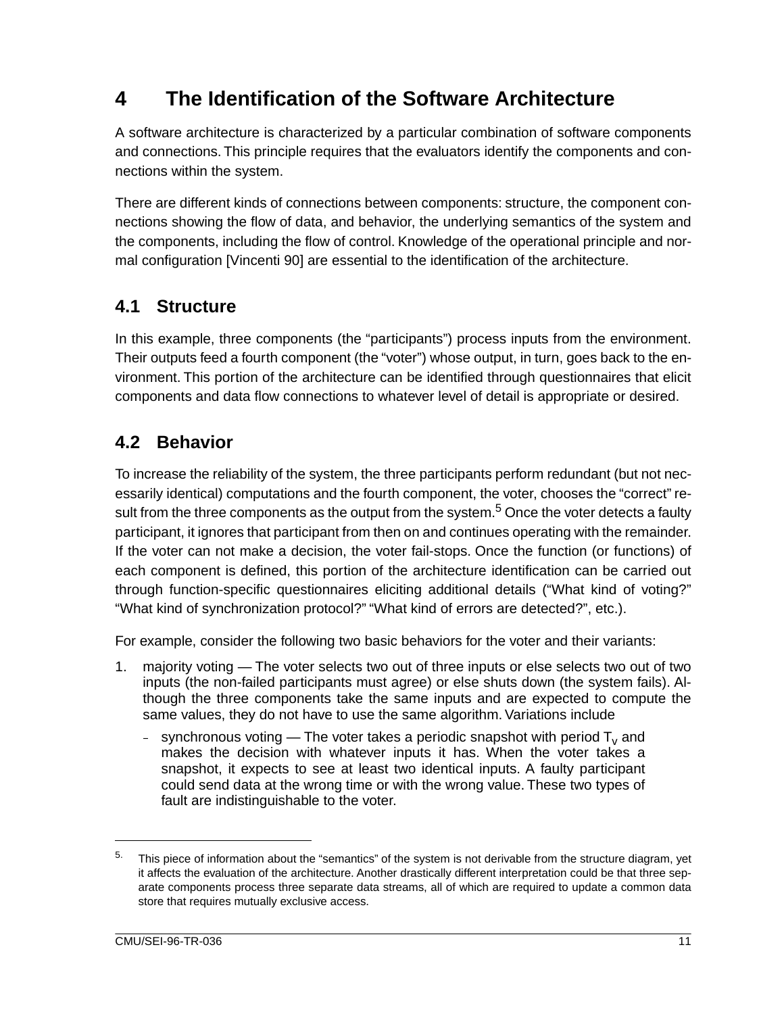## <span id="page-18-0"></span>**4 The Identification of the Software Architecture**

A software architecture is characterized by a particular combination of software components and connections. This principle requires that the evaluators identify the components and connections within the system.

There are different kinds of connections between components: structure, the component connections showing the flow of data, and behavior, the underlying semantics of the system and the components, including the flow of control. Knowledge of the operational principle and normal configuration [Vincenti 90] are essential to the identification of the architecture.

### **4.1 Structure**

In this example, three components (the "participants") process inputs from the environment. Their outputs feed a fourth component (the "voter") whose output, in turn, goes back to the environment. This portion of the architecture can be identified through questionnaires that elicit components and data flow connections to whatever level of detail is appropriate or desired.

## **4.2 Behavior**

To increase the reliability of the system, the three participants perform redundant (but not necessarily identical) computations and the fourth component, the voter, chooses the "correct" result from the three components as the output from the system.<sup>5</sup> Once the voter detects a faulty participant, it ignores that participant from then on and continues operating with the remainder. If the voter can not make a decision, the voter fail-stops. Once the function (or functions) of each component is defined, this portion of the architecture identification can be carried out through function-specific questionnaires eliciting additional details ("What kind of voting?" "What kind of synchronization protocol?" "What kind of errors are detected?", etc.).

For example, consider the following two basic behaviors for the voter and their variants:

- 1. majority voting The voter selects two out of three inputs or else selects two out of two inputs (the non-failed participants must agree) or else shuts down (the system fails). Although the three components take the same inputs and are expected to compute the same values, they do not have to use the same algorithm. Variations include
	- synchronous voting The voter takes a periodic snapshot with period  $T_v$  and makes the decision with whatever inputs it has. When the voter takes a snapshot, it expects to see at least two identical inputs. A faulty participant could send data at the wrong time or with the wrong value. These two types of fault are indistinguishable to the voter.

<sup>&</sup>lt;sup>5.</sup> This piece of information about the "semantics" of the system is not derivable from the structure diagram, yet it affects the evaluation of the architecture. Another drastically different interpretation could be that three separate components process three separate data streams, all of which are required to update a common data store that requires mutually exclusive access.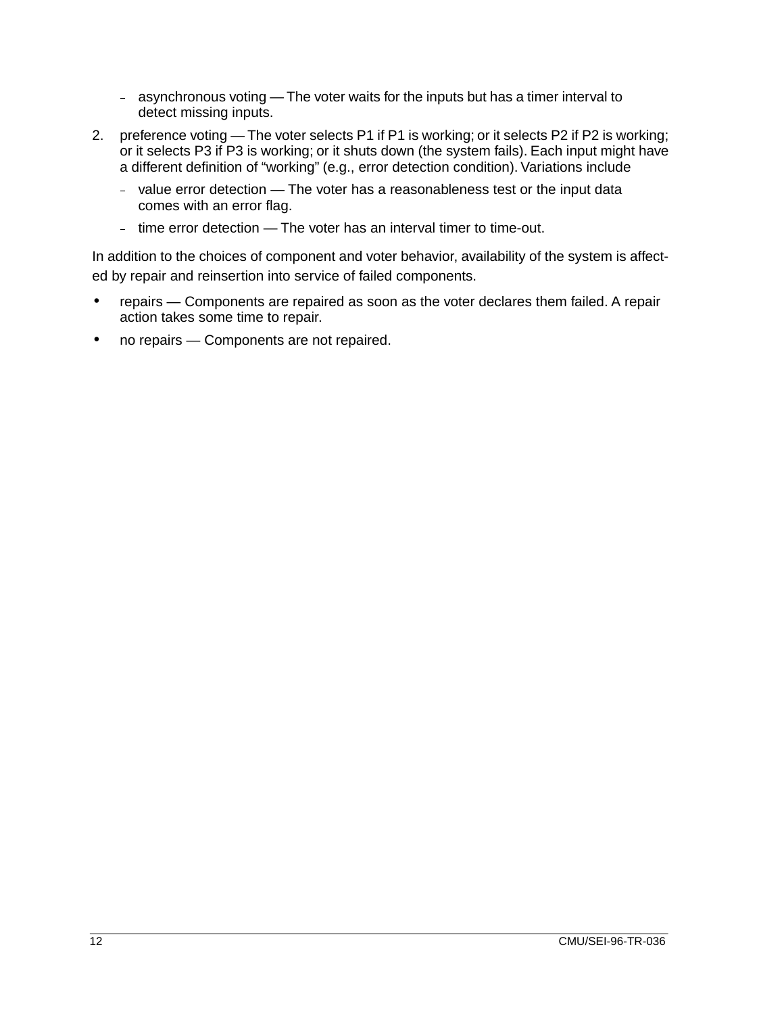– asynchronous voting — The voter waits for the inputs but has a timer interval to detect missing inputs.

- 2. preference voting The voter selects P1 if P1 is working; or it selects P2 if P2 is working; or it selects P3 if P3 is working; or it shuts down (the system fails). Each input might have a different definition of "working" (e.g., error detection condition). Variations include
	- value error detection The voter has a reasonableness test or the input data comes with an error flag.
	- time error detection The voter has an interval timer to time-out.

In addition to the choices of component and voter behavior, availability of the system is affected by repair and reinsertion into service of failed components.

- repairs Components are repaired as soon as the voter declares them failed. A repair action takes some time to repair.
- no repairs Components are not repaired.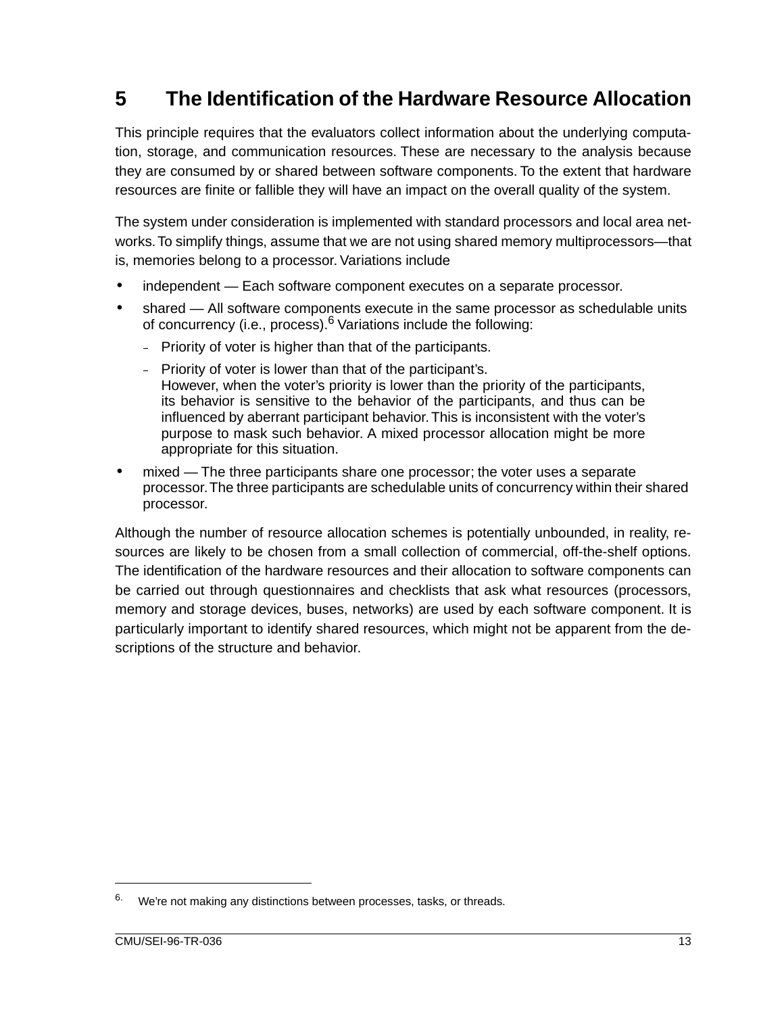## <span id="page-20-0"></span>**5 The Identification of the Hardware Resource Allocation**

This principle requires that the evaluators collect information about the underlying computation, storage, and communication resources. These are necessary to the analysis because they are consumed by or shared between software components. To the extent that hardware resources are finite or fallible they will have an impact on the overall quality of the system.

The system under consideration is implemented with standard processors and local area networks. To simplify things, assume that we are not using shared memory multiprocessors—that is, memories belong to a processor. Variations include

- independent Each software component executes on a separate processor.
- shared All software components execute in the same processor as schedulable units of concurrency (i.e., process). $6$  Variations include the following:
	- Priority of voter is higher than that of the participants.
	- Priority of voter is lower than that of the participant's. However, when the voter's priority is lower than the priority of the participants, its behavior is sensitive to the behavior of the participants, and thus can be influenced by aberrant participant behavior. This is inconsistent with the voter's purpose to mask such behavior. A mixed processor allocation might be more appropriate for this situation.
- mixed The three participants share one processor; the voter uses a separate processor. The three participants are schedulable units of concurrency within their shared processor.

Although the number of resource allocation schemes is potentially unbounded, in reality, resources are likely to be chosen from a small collection of commercial, off-the-shelf options. The identification of the hardware resources and their allocation to software components can be carried out through questionnaires and checklists that ask what resources (processors, memory and storage devices, buses, networks) are used by each software component. It is particularly important to identify shared resources, which might not be apparent from the descriptions of the structure and behavior.

<sup>&</sup>lt;sup>6.</sup> We're not making any distinctions between processes, tasks, or threads.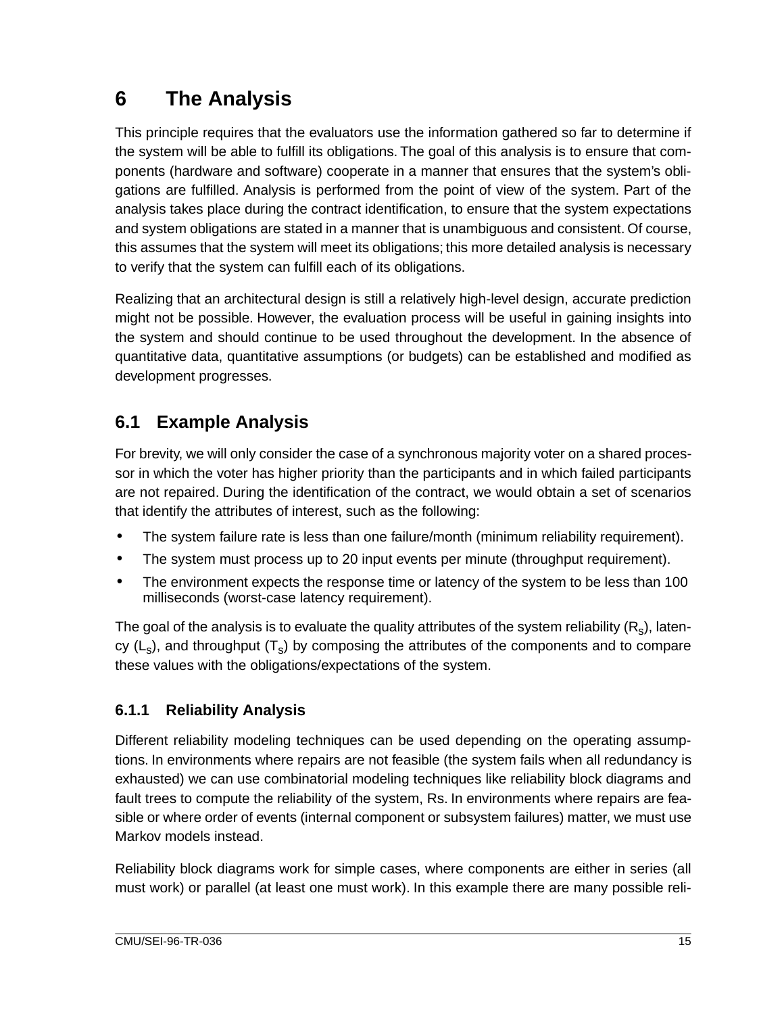# <span id="page-22-0"></span>**6 The Analysis**

This principle requires that the evaluators use the information gathered so far to determine if the system will be able to fulfill its obligations. The goal of this analysis is to ensure that components (hardware and software) cooperate in a manner that ensures that the system's obligations are fulfilled. Analysis is performed from the point of view of the system. Part of the analysis takes place during the contract identification, to ensure that the system expectations and system obligations are stated in a manner that is unambiguous and consistent. Of course, this assumes that the system will meet its obligations; this more detailed analysis is necessary to verify that the system can fulfill each of its obligations.

Realizing that an architectural design is still a relatively high-level design, accurate prediction might not be possible. However, the evaluation process will be useful in gaining insights into the system and should continue to be used throughout the development. In the absence of quantitative data, quantitative assumptions (or budgets) can be established and modified as development progresses.

## **6.1 Example Analysis**

For brevity, we will only consider the case of a synchronous majority voter on a shared processor in which the voter has higher priority than the participants and in which failed participants are not repaired. During the identification of the contract, we would obtain a set of scenarios that identify the attributes of interest, such as the following:

- The system failure rate is less than one failure/month (minimum reliability requirement).
- The system must process up to 20 input events per minute (throughput requirement).
- The environment expects the response time or latency of the system to be less than 100 milliseconds (worst-case latency requirement).

The goal of the analysis is to evaluate the quality attributes of the system reliability  $(R_s)$ , latency  $(L_s)$ , and throughput  $(T_s)$  by composing the attributes of the components and to compare these values with the obligations/expectations of the system.

### **6.1.1 Reliability Analysis**

Different reliability modeling techniques can be used depending on the operating assumptions. In environments where repairs are not feasible (the system fails when all redundancy is exhausted) we can use combinatorial modeling techniques like reliability block diagrams and fault trees to compute the reliability of the system, Rs. In environments where repairs are feasible or where order of events (internal component or subsystem failures) matter, we must use Markov models instead.

Reliability block diagrams work for simple cases, where components are either in series (all must work) or parallel (at least one must work). In this example there are many possible reli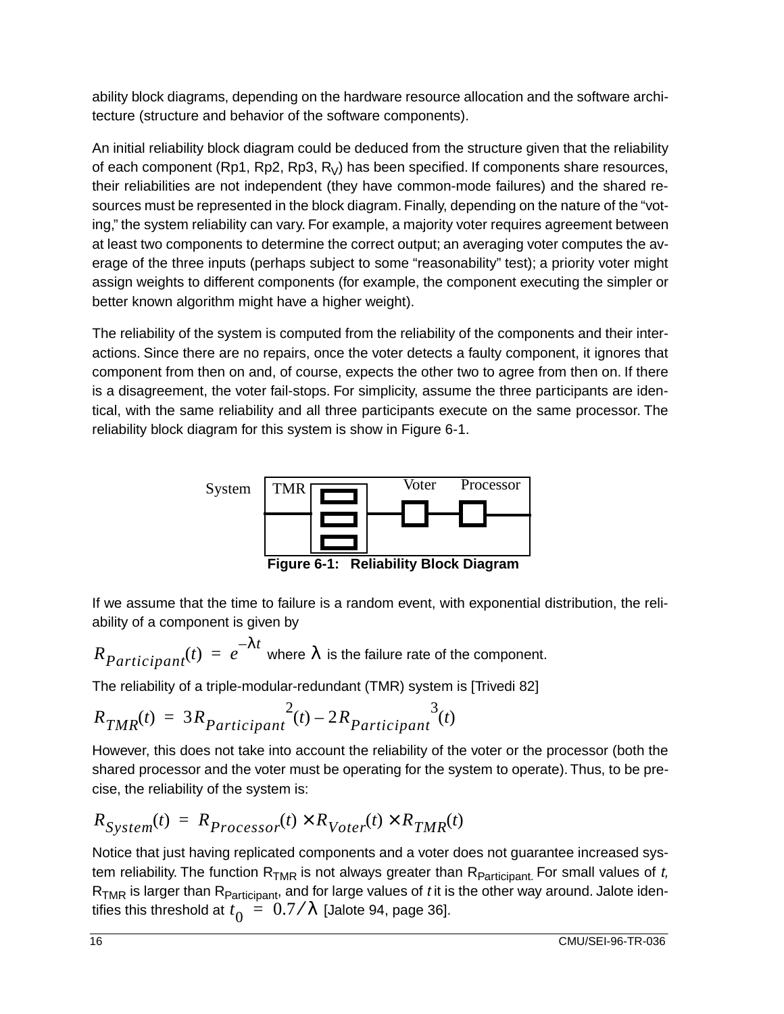<span id="page-23-0"></span>ability block diagrams, depending on the hardware resource allocation and the software architecture (structure and behavior of the software components).

An initial reliability block diagram could be deduced from the structure given that the reliability of each component (Rp1, Rp2, Rp3,  $R_V$ ) has been specified. If components share resources, their reliabilities are not independent (they have common-mode failures) and the shared resources must be represented in the block diagram. Finally, depending on the nature of the "voting," the system reliability can vary. For example, a majority voter requires agreement between at least two components to determine the correct output; an averaging voter computes the average of the three inputs (perhaps subject to some "reasonability" test); a priority voter might assign weights to different components (for example, the component executing the simpler or better known algorithm might have a higher weight).

The reliability of the system is computed from the reliability of the components and their interactions. Since there are no repairs, once the voter detects a faulty component, it ignores that component from then on and, of course, expects the other two to agree from then on. If there is a disagreement, the voter fail-stops. For simplicity, assume the three participants are identical, with the same reliability and all three participants execute on the same processor. The reliability block diagram for this system is show in Figure 6-1.



**Figure 6-1: Reliability Block Diagram**

If we assume that the time to failure is a random event, with exponential distribution, the reliability of a component is given by

$$
R_{Participant}(t) = e^{-\lambda t}
$$
 where  $\lambda$  is the failure rate of the component.

The reliability of a triple-modular-redundant (TMR) system is [Trivedi 82]

$$
R_{TMR}(t) = 3R_{Participant}^{2}(t) - 2R_{Participant}^{3}(t)
$$

However, this does not take into account the reliability of the voter or the processor (both the shared processor and the voter must be operating for the system to operate). Thus, to be precise, the reliability of the system is:

$$
R_{System}(t) = R_{Processor}(t) \times R_{Voter}(t) \times R_{TMR}(t)
$$

Notice that just having replicated components and a voter does not guarantee increased system reliability. The function  $R_{TMR}$  is not always greater than  $R_{Participant}$ . For small values of t,  $R_{TMR}$  is larger than  $R_{Participant}$ , and for large values of t it is the other way around. Jalote identifies this threshold at  $t_{\rm 0} = 0.7$   $/\lambda$  [Jalote 94, page 36].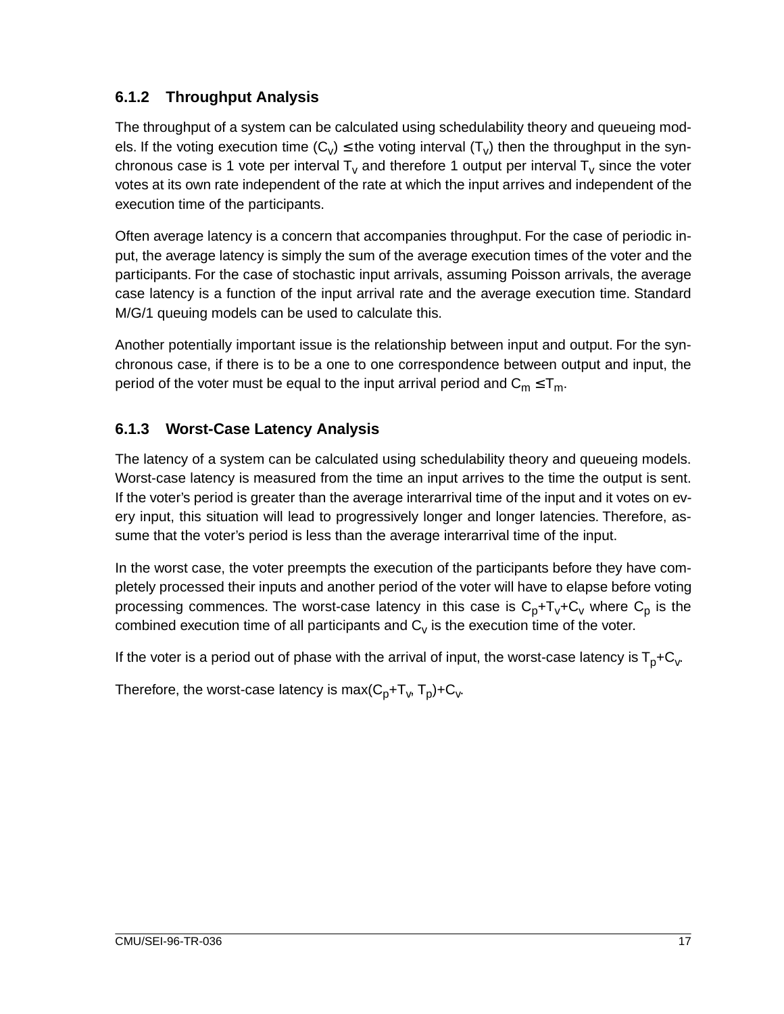### <span id="page-24-0"></span>**6.1.2 Throughput Analysis**

The throughput of a system can be calculated using schedulability theory and queueing models. If the voting execution time  $(C_v) \leq$  the voting interval  $(T_v)$  then the throughput in the synchronous case is 1 vote per interval  $T_v$  and therefore 1 output per interval  $T_v$  since the voter votes at its own rate independent of the rate at which the input arrives and independent of the execution time of the participants.

Often average latency is a concern that accompanies throughput. For the case of periodic input, the average latency is simply the sum of the average execution times of the voter and the participants. For the case of stochastic input arrivals, assuming Poisson arrivals, the average case latency is a function of the input arrival rate and the average execution time. Standard M/G/1 queuing models can be used to calculate this.

Another potentially important issue is the relationship between input and output. For the synchronous case, if there is to be a one to one correspondence between output and input, the period of the voter must be equal to the input arrival period and  $C_m \leq T_m$ .

#### **6.1.3 Worst-Case Latency Analysis**

The latency of a system can be calculated using schedulability theory and queueing models. Worst-case latency is measured from the time an input arrives to the time the output is sent. If the voter's period is greater than the average interarrival time of the input and it votes on every input, this situation will lead to progressively longer and longer latencies. Therefore, assume that the voter's period is less than the average interarrival time of the input.

In the worst case, the voter preempts the execution of the participants before they have completely processed their inputs and another period of the voter will have to elapse before voting processing commences. The worst-case latency in this case is  $C_p + T_v + C_v$  where  $C_p$  is the combined execution time of all participants and  $C_v$  is the execution time of the voter.

If the voter is a period out of phase with the arrival of input, the worst-case latency is  $T_p+C_v$ .

Therefore, the worst-case latency is max $(C_p+T_v, T_p)+C_v$ .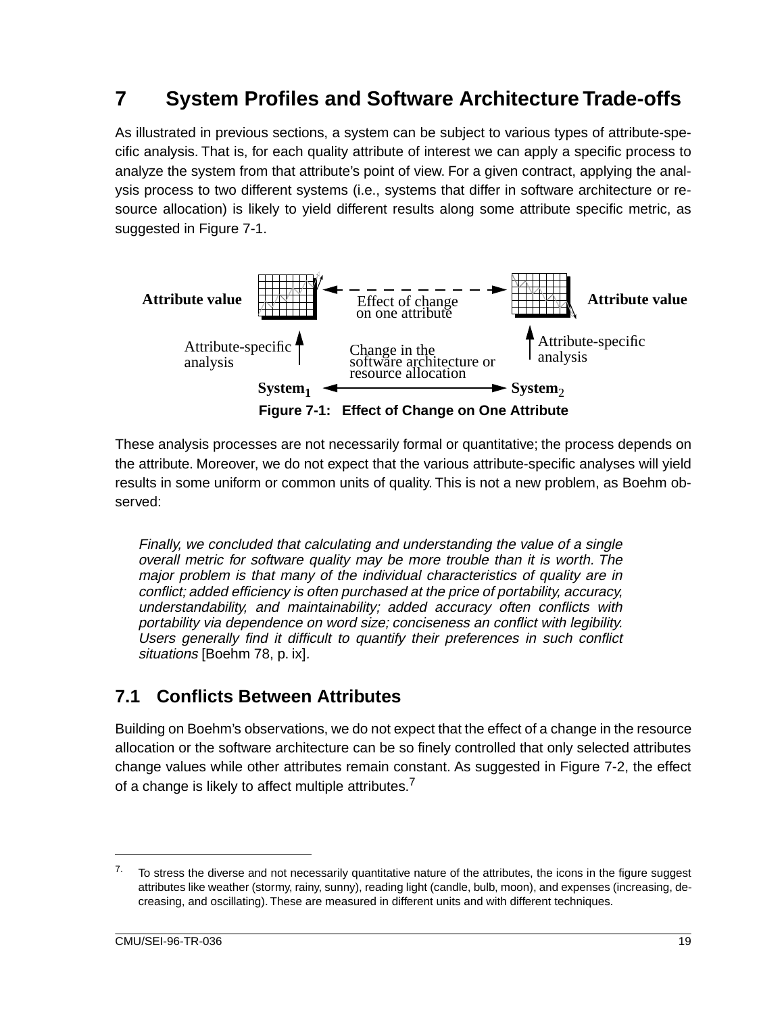## <span id="page-26-0"></span>**7 System Profiles and Software Architecture Trade-offs**

As illustrated in previous sections, a system can be subject to various types of attribute-specific analysis. That is, for each quality attribute of interest we can apply a specific process to analyze the system from that attribute's point of view. For a given contract, applying the analysis process to two different systems (i.e., systems that differ in software architecture or resource allocation) is likely to yield different results along some attribute specific metric, as suggested in Figure 7-1.



These analysis processes are not necessarily formal or quantitative; the process depends on the attribute. Moreover, we do not expect that the various attribute-specific analyses will yield results in some uniform or common units of quality. This is not a new problem, as Boehm observed:

Finally, we concluded that calculating and understanding the value of a single overall metric for software quality may be more trouble than it is worth. The major problem is that many of the individual characteristics of quality are in conflict; added efficiency is often purchased at the price of portability, accuracy, understandability, and maintainability; added accuracy often conflicts with portability via dependence on word size; conciseness an conflict with legibility. Users generally find it difficult to quantify their preferences in such conflict situations [Boehm 78, p. ix].

### **7.1 Conflicts Between Attributes**

Building on Boehm's observations, we do not expect that the effect of a change in the resource allocation or the software architecture can be so finely controlled that only selected attributes change values while other attributes remain constant. As suggested in [Figure 7-2](#page-27-0), the effect of a change is likely to affect multiple attributes.<sup>7</sup>

 $7.$  To stress the diverse and not necessarily quantitative nature of the attributes, the icons in the figure suggest attributes like weather (stormy, rainy, sunny), reading light (candle, bulb, moon), and expenses (increasing, decreasing, and oscillating). These are measured in different units and with different techniques.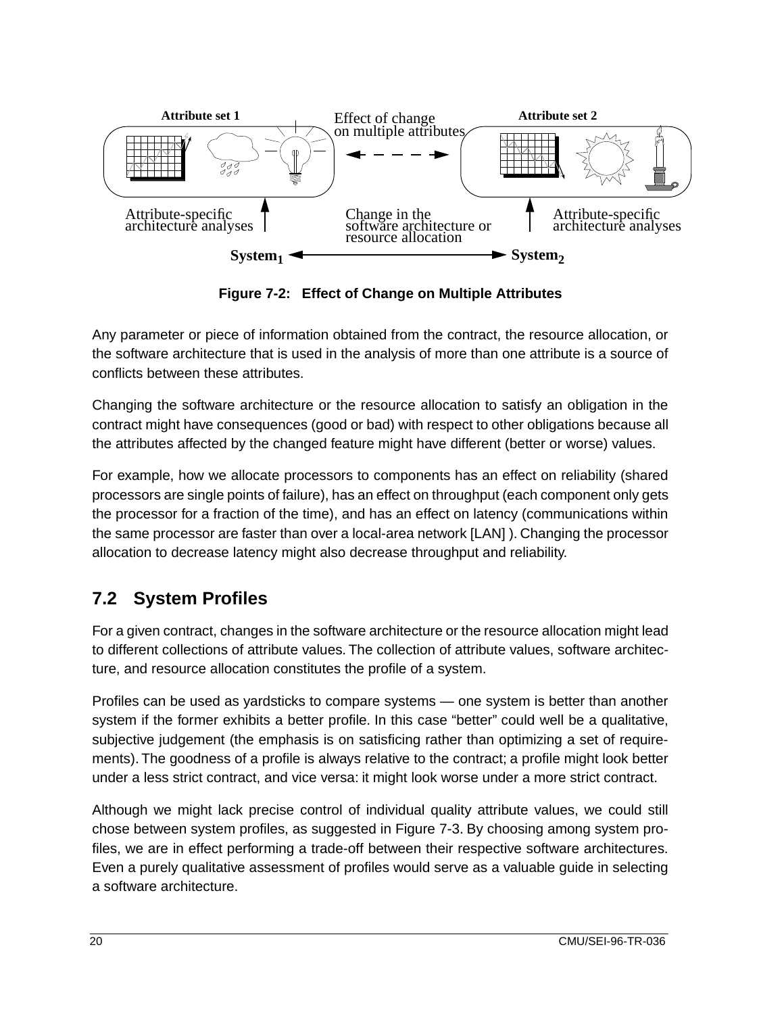<span id="page-27-0"></span>

**Figure 7-2: Effect of Change on Multiple Attributes**

Any parameter or piece of information obtained from the contract, the resource allocation, or the software architecture that is used in the analysis of more than one attribute is a source of conflicts between these attributes.

Changing the software architecture or the resource allocation to satisfy an obligation in the contract might have consequences (good or bad) with respect to other obligations because all the attributes affected by the changed feature might have different (better or worse) values.

For example, how we allocate processors to components has an effect on reliability (shared processors are single points of failure), has an effect on throughput (each component only gets the processor for a fraction of the time), and has an effect on latency (communications within the same processor are faster than over a local-area network [LAN] ). Changing the processor allocation to decrease latency might also decrease throughput and reliability.

## **7.2 System Profiles**

For a given contract, changes in the software architecture or the resource allocation might lead to different collections of attribute values. The collection of attribute values, software architecture, and resource allocation constitutes the profile of a system.

Profiles can be used as yardsticks to compare systems — one system is better than another system if the former exhibits a better profile. In this case "better" could well be a qualitative, subjective judgement (the emphasis is on satisficing rather than optimizing a set of requirements). The goodness of a profile is always relative to the contract; a profile might look better under a less strict contract, and vice versa: it might look worse under a more strict contract.

Although we might lack precise control of individual quality attribute values, we could still chose between system profiles, as suggested in [Figure 7-3](#page-28-0). By choosing among system profiles, we are in effect performing a trade-off between their respective software architectures. Even a purely qualitative assessment of profiles would serve as a valuable guide in selecting a software architecture.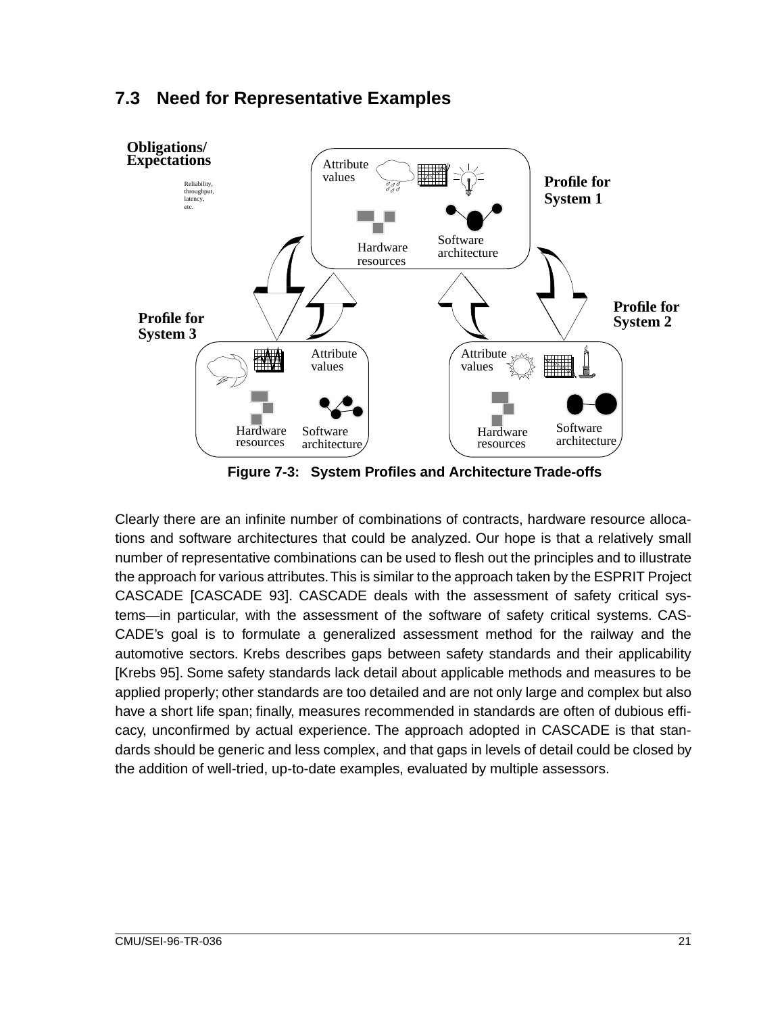

### <span id="page-28-0"></span>**7.3 Need for Representative Examples**

**Figure 7-3: System Profiles and Architecture Trade-offs**

Clearly there are an infinite number of combinations of contracts, hardware resource allocations and software architectures that could be analyzed. Our hope is that a relatively small number of representative combinations can be used to flesh out the principles and to illustrate the approach for various attributes. This is similar to the approach taken by the ESPRIT Project CASCADE [CASCADE 93]. CASCADE deals with the assessment of safety critical systems—in particular, with the assessment of the software of safety critical systems. CAS-CADE's goal is to formulate a generalized assessment method for the railway and the automotive sectors. Krebs describes gaps between safety standards and their applicability [Krebs 95]. Some safety standards lack detail about applicable methods and measures to be applied properly; other standards are too detailed and are not only large and complex but also have a short life span; finally, measures recommended in standards are often of dubious efficacy, unconfirmed by actual experience. The approach adopted in CASCADE is that standards should be generic and less complex, and that gaps in levels of detail could be closed by the addition of well-tried, up-to-date examples, evaluated by multiple assessors.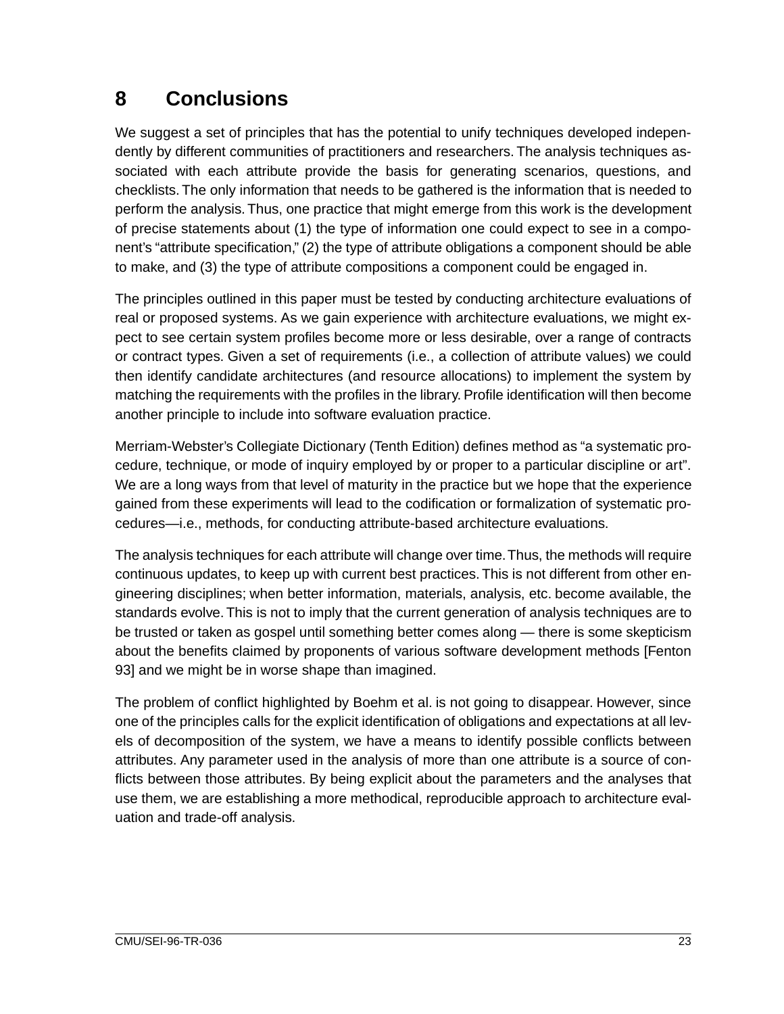## <span id="page-30-0"></span>**8 Conclusions**

We suggest a set of principles that has the potential to unify techniques developed independently by different communities of practitioners and researchers. The analysis techniques associated with each attribute provide the basis for generating scenarios, questions, and checklists. The only information that needs to be gathered is the information that is needed to perform the analysis. Thus, one practice that might emerge from this work is the development of precise statements about (1) the type of information one could expect to see in a component's "attribute specification," (2) the type of attribute obligations a component should be able to make, and (3) the type of attribute compositions a component could be engaged in.

The principles outlined in this paper must be tested by conducting architecture evaluations of real or proposed systems. As we gain experience with architecture evaluations, we might expect to see certain system profiles become more or less desirable, over a range of contracts or contract types. Given a set of requirements (i.e., a collection of attribute values) we could then identify candidate architectures (and resource allocations) to implement the system by matching the requirements with the profiles in the library. Profile identification will then become another principle to include into software evaluation practice.

Merriam-Webster's Collegiate Dictionary (Tenth Edition) defines method as "a systematic procedure, technique, or mode of inquiry employed by or proper to a particular discipline or art". We are a long ways from that level of maturity in the practice but we hope that the experience gained from these experiments will lead to the codification or formalization of systematic procedures—i.e., methods, for conducting attribute-based architecture evaluations.

The analysis techniques for each attribute will change over time. Thus, the methods will require continuous updates, to keep up with current best practices. This is not different from other engineering disciplines; when better information, materials, analysis, etc. become available, the standards evolve. This is not to imply that the current generation of analysis techniques are to be trusted or taken as gospel until something better comes along — there is some skepticism about the benefits claimed by proponents of various software development methods [Fenton 93] and we might be in worse shape than imagined.

The problem of conflict highlighted by Boehm et al. is not going to disappear. However, since one of the principles calls for the explicit identification of obligations and expectations at all levels of decomposition of the system, we have a means to identify possible conflicts between attributes. Any parameter used in the analysis of more than one attribute is a source of conflicts between those attributes. By being explicit about the parameters and the analyses that use them, we are establishing a more methodical, reproducible approach to architecture evaluation and trade-off analysis.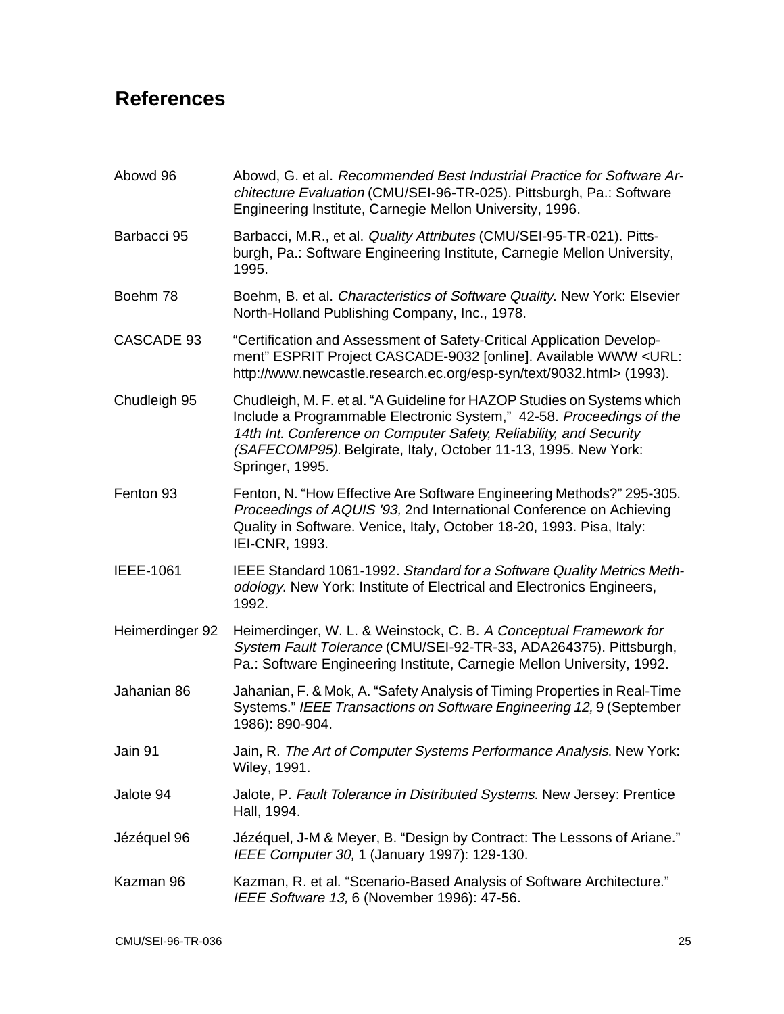## <span id="page-32-0"></span>**References**

| Abowd 96         | Abowd, G. et al. Recommended Best Industrial Practice for Software Ar-<br>chitecture Evaluation (CMU/SEI-96-TR-025). Pittsburgh, Pa.: Software<br>Engineering Institute, Carnegie Mellon University, 1996.                                                                                                 |
|------------------|------------------------------------------------------------------------------------------------------------------------------------------------------------------------------------------------------------------------------------------------------------------------------------------------------------|
| Barbacci 95      | Barbacci, M.R., et al. Quality Attributes (CMU/SEI-95-TR-021). Pitts-<br>burgh, Pa.: Software Engineering Institute, Carnegie Mellon University,<br>1995.                                                                                                                                                  |
| Boehm 78         | Boehm, B. et al. Characteristics of Software Quality. New York: Elsevier<br>North-Holland Publishing Company, Inc., 1978.                                                                                                                                                                                  |
| CASCADE 93       | "Certification and Assessment of Safety-Critical Application Develop-<br>ment" ESPRIT Project CASCADE-9032 [online]. Available WWW <url:<br>http://www.newcastle.research.ec.org/esp-syn/text/9032.html&gt; (1993).</url:<br>                                                                              |
| Chudleigh 95     | Chudleigh, M. F. et al. "A Guideline for HAZOP Studies on Systems which<br>Include a Programmable Electronic System," 42-58. Proceedings of the<br>14th Int. Conference on Computer Safety, Reliability, and Security<br>(SAFECOMP95). Belgirate, Italy, October 11-13, 1995. New York:<br>Springer, 1995. |
| Fenton 93        | Fenton, N. "How Effective Are Software Engineering Methods?" 295-305.<br>Proceedings of AQUIS '93, 2nd International Conference on Achieving<br>Quality in Software. Venice, Italy, October 18-20, 1993. Pisa, Italy:<br>IEI-CNR, 1993.                                                                    |
| <b>IEEE-1061</b> | IEEE Standard 1061-1992. Standard for a Software Quality Metrics Meth-<br>odology. New York: Institute of Electrical and Electronics Engineers,<br>1992.                                                                                                                                                   |
| Heimerdinger 92  | Heimerdinger, W. L. & Weinstock, C. B. A Conceptual Framework for<br>System Fault Tolerance (CMU/SEI-92-TR-33, ADA264375). Pittsburgh,<br>Pa.: Software Engineering Institute, Carnegie Mellon University, 1992.                                                                                           |
| Jahanian 86      | Jahanian, F. & Mok, A. "Safety Analysis of Timing Properties in Real-Time<br>Systems." IEEE Transactions on Software Engineering 12, 9 (September<br>1986): 890-904.                                                                                                                                       |
| Jain 91          | Jain, R. The Art of Computer Systems Performance Analysis. New York:<br>Wiley, 1991.                                                                                                                                                                                                                       |
| Jalote 94        | Jalote, P. Fault Tolerance in Distributed Systems. New Jersey: Prentice<br>Hall, 1994.                                                                                                                                                                                                                     |
| Jézéquel 96      | Jézéquel, J-M & Meyer, B. "Design by Contract: The Lessons of Ariane."<br>IEEE Computer 30, 1 (January 1997): 129-130.                                                                                                                                                                                     |
| Kazman 96        | Kazman, R. et al. "Scenario-Based Analysis of Software Architecture."<br>IEEE Software 13, 6 (November 1996): 47-56.                                                                                                                                                                                       |
|                  |                                                                                                                                                                                                                                                                                                            |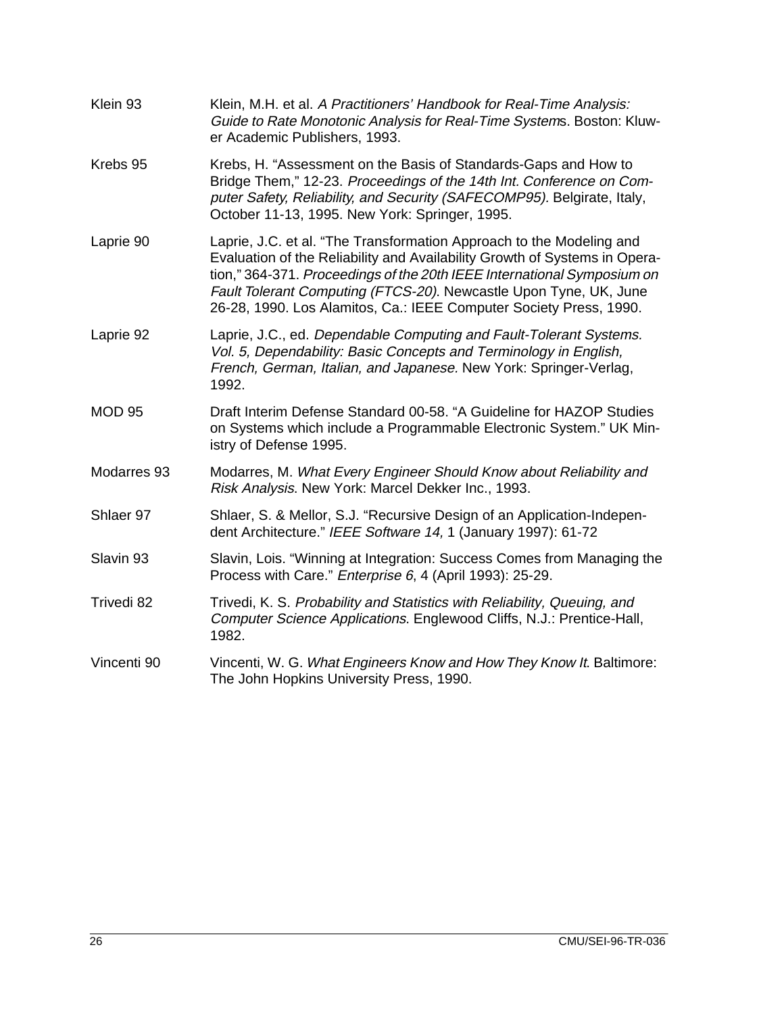| Klein 93      | Klein, M.H. et al. A Practitioners' Handbook for Real-Time Analysis:<br>Guide to Rate Monotonic Analysis for Real-Time Systems. Boston: Kluw-<br>er Academic Publishers, 1993.                                                                                                                                                                                           |
|---------------|--------------------------------------------------------------------------------------------------------------------------------------------------------------------------------------------------------------------------------------------------------------------------------------------------------------------------------------------------------------------------|
| Krebs 95      | Krebs, H. "Assessment on the Basis of Standards-Gaps and How to<br>Bridge Them," 12-23. Proceedings of the 14th Int. Conference on Com-<br>puter Safety, Reliability, and Security (SAFECOMP95). Belgirate, Italy,<br>October 11-13, 1995. New York: Springer, 1995.                                                                                                     |
| Laprie 90     | Laprie, J.C. et al. "The Transformation Approach to the Modeling and<br>Evaluation of the Reliability and Availability Growth of Systems in Opera-<br>tion," 364-371. Proceedings of the 20th IEEE International Symposium on<br>Fault Tolerant Computing (FTCS-20). Newcastle Upon Tyne, UK, June<br>26-28, 1990. Los Alamitos, Ca.: IEEE Computer Society Press, 1990. |
| Laprie 92     | Laprie, J.C., ed. Dependable Computing and Fault-Tolerant Systems.<br>Vol. 5, Dependability: Basic Concepts and Terminology in English,<br>French, German, Italian, and Japanese. New York: Springer-Verlag,<br>1992.                                                                                                                                                    |
| <b>MOD 95</b> | Draft Interim Defense Standard 00-58. "A Guideline for HAZOP Studies<br>on Systems which include a Programmable Electronic System." UK Min-<br>istry of Defense 1995.                                                                                                                                                                                                    |
| Modarres 93   | Modarres, M. What Every Engineer Should Know about Reliability and<br>Risk Analysis. New York: Marcel Dekker Inc., 1993.                                                                                                                                                                                                                                                 |
| Shlaer 97     | Shlaer, S. & Mellor, S.J. "Recursive Design of an Application-Indepen-<br>dent Architecture." IEEE Software 14, 1 (January 1997): 61-72                                                                                                                                                                                                                                  |
| Slavin 93     | Slavin, Lois. "Winning at Integration: Success Comes from Managing the<br>Process with Care." Enterprise 6, 4 (April 1993): 25-29.                                                                                                                                                                                                                                       |
| Trivedi 82    | Trivedi, K. S. Probability and Statistics with Reliability, Queuing, and<br>Computer Science Applications. Englewood Cliffs, N.J.: Prentice-Hall,<br>1982.                                                                                                                                                                                                               |
| Vincenti 90   | Vincenti, W. G. What Engineers Know and How They Know It. Baltimore:<br>The John Hopkins University Press, 1990.                                                                                                                                                                                                                                                         |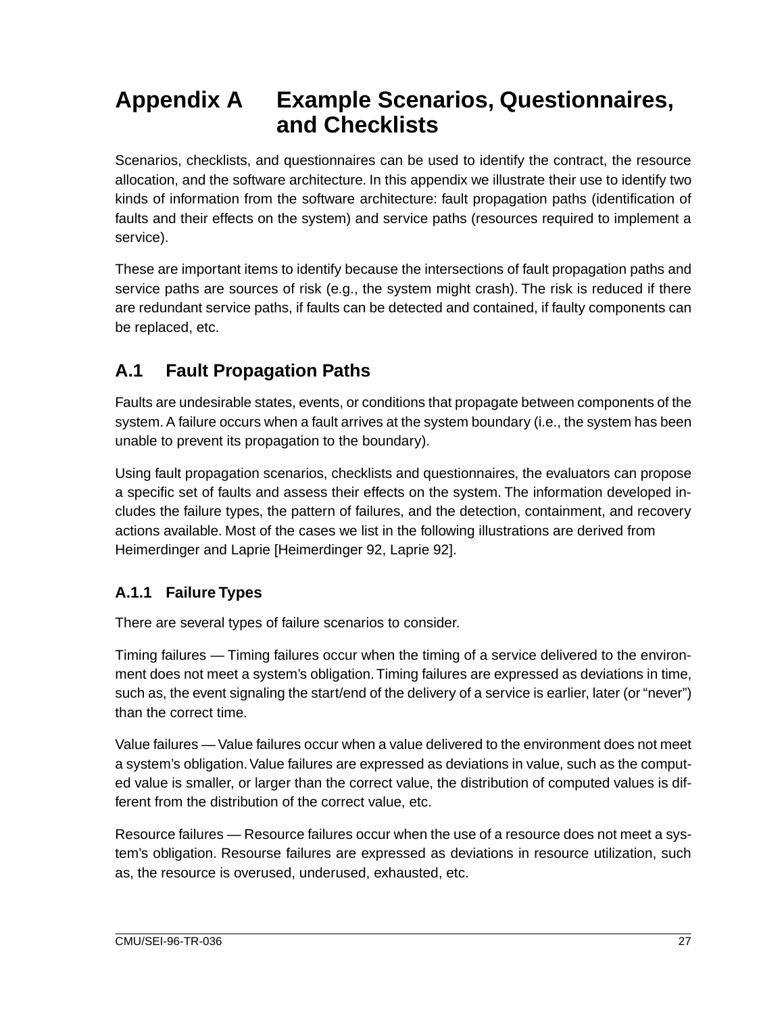# <span id="page-34-0"></span>**Appendix A Example Scenarios, Questionnaires, and Checklists**

Scenarios, checklists, and questionnaires can be used to identify the contract, the resource allocation, and the software architecture. In this appendix we illustrate their use to identify two kinds of information from the software architecture: fault propagation paths (identification of faults and their effects on the system) and service paths (resources required to implement a service).

These are important items to identify because the intersections of fault propagation paths and service paths are sources of risk (e.g., the system might crash). The risk is reduced if there are redundant service paths, if faults can be detected and contained, if faulty components can be replaced, etc.

## **A.1 Fault Propagation Paths**

Faults are undesirable states, events, or conditions that propagate between components of the system. A failure occurs when a fault arrives at the system boundary (i.e., the system has been unable to prevent its propagation to the boundary).

Using fault propagation scenarios, checklists and questionnaires, the evaluators can propose a specific set of faults and assess their effects on the system. The information developed includes the failure types, the pattern of failures, and the detection, containment, and recovery actions available. Most of the cases we list in the following illustrations are derived from Heimerdinger and Laprie [Heimerdinger 92, Laprie 92].

### **A.1.1 Failure Types**

There are several types of failure scenarios to consider.

Timing failures — Timing failures occur when the timing of a service delivered to the environment does not meet a system's obligation. Timing failures are expressed as deviations in time, such as, the event signaling the start/end of the delivery of a service is earlier, later (or "never") than the correct time.

Value failures — Value failures occur when a value delivered to the environment does not meet a system's obligation. Value failures are expressed as deviations in value, such as the computed value is smaller, or larger than the correct value, the distribution of computed values is different from the distribution of the correct value, etc.

Resource failures — Resource failures occur when the use of a resource does not meet a system's obligation. Resourse failures are expressed as deviations in resource utilization, such as, the resource is overused, underused, exhausted, etc.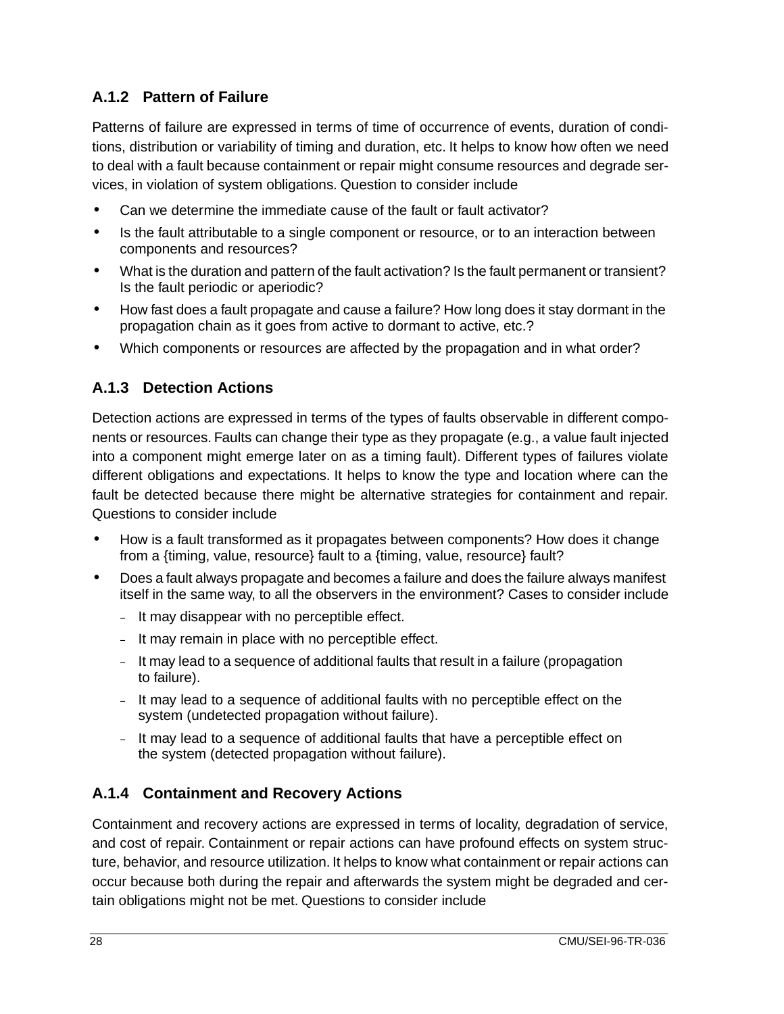#### <span id="page-35-0"></span>**A.1.2 Pattern of Failure**

Patterns of failure are expressed in terms of time of occurrence of events, duration of conditions, distribution or variability of timing and duration, etc. It helps to know how often we need to deal with a fault because containment or repair might consume resources and degrade services, in violation of system obligations. Question to consider include

- Can we determine the immediate cause of the fault or fault activator?
- Is the fault attributable to a single component or resource, or to an interaction between components and resources?
- What is the duration and pattern of the fault activation? Is the fault permanent or transient? Is the fault periodic or aperiodic?
- How fast does a fault propagate and cause a failure? How long does it stay dormant in the propagation chain as it goes from active to dormant to active, etc.?
- Which components or resources are affected by the propagation and in what order?

#### **A.1.3 Detection Actions**

Detection actions are expressed in terms of the types of faults observable in different components or resources. Faults can change their type as they propagate (e.g., a value fault injected into a component might emerge later on as a timing fault). Different types of failures violate different obligations and expectations. It helps to know the type and location where can the fault be detected because there might be alternative strategies for containment and repair. Questions to consider include

- How is a fault transformed as it propagates between components? How does it change from a {timing, value, resource} fault to a {timing, value, resource} fault?
- Does a fault always propagate and becomes a failure and does the failure always manifest itself in the same way, to all the observers in the environment? Cases to consider include
	- It may disappear with no perceptible effect.
	- It may remain in place with no perceptible effect.
	- It may lead to a sequence of additional faults that result in a failure (propagation to failure).
	- It may lead to a sequence of additional faults with no perceptible effect on the system (undetected propagation without failure).
	- It may lead to a sequence of additional faults that have a perceptible effect on the system (detected propagation without failure).

#### **A.1.4 Containment and Recovery Actions**

Containment and recovery actions are expressed in terms of locality, degradation of service, and cost of repair. Containment or repair actions can have profound effects on system structure, behavior, and resource utilization. It helps to know what containment or repair actions can occur because both during the repair and afterwards the system might be degraded and certain obligations might not be met. Questions to consider include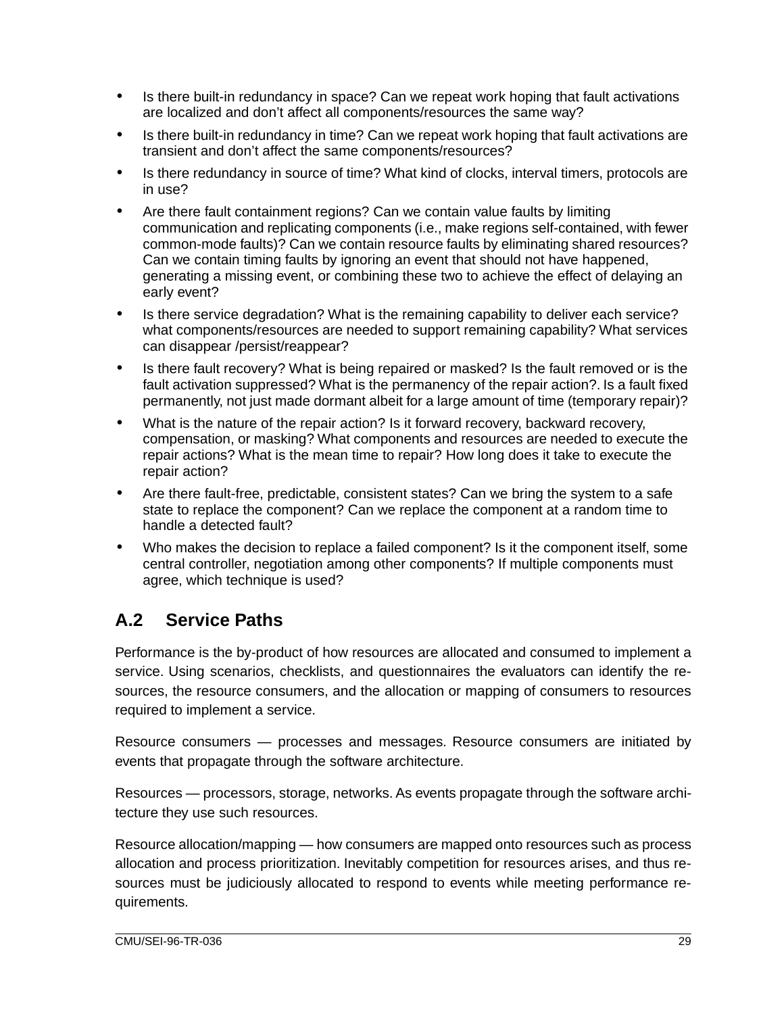- <span id="page-36-0"></span>• Is there built-in redundancy in space? Can we repeat work hoping that fault activations are localized and don't affect all components/resources the same way?
- Is there built-in redundancy in time? Can we repeat work hoping that fault activations are transient and don't affect the same components/resources?
- Is there redundancy in source of time? What kind of clocks, interval timers, protocols are in use?
- Are there fault containment regions? Can we contain value faults by limiting communication and replicating components (i.e., make regions self-contained, with fewer common-mode faults)? Can we contain resource faults by eliminating shared resources? Can we contain timing faults by ignoring an event that should not have happened, generating a missing event, or combining these two to achieve the effect of delaying an early event?
- Is there service degradation? What is the remaining capability to deliver each service? what components/resources are needed to support remaining capability? What services can disappear /persist/reappear?
- Is there fault recovery? What is being repaired or masked? Is the fault removed or is the fault activation suppressed? What is the permanency of the repair action?. Is a fault fixed permanently, not just made dormant albeit for a large amount of time (temporary repair)?
- What is the nature of the repair action? Is it forward recovery, backward recovery, compensation, or masking? What components and resources are needed to execute the repair actions? What is the mean time to repair? How long does it take to execute the repair action?
- Are there fault-free, predictable, consistent states? Can we bring the system to a safe state to replace the component? Can we replace the component at a random time to handle a detected fault?
- Who makes the decision to replace a failed component? Is it the component itself, some central controller, negotiation among other components? If multiple components must agree, which technique is used?

### **A.2 Service Paths**

Performance is the by-product of how resources are allocated and consumed to implement a service. Using scenarios, checklists, and questionnaires the evaluators can identify the resources, the resource consumers, and the allocation or mapping of consumers to resources required to implement a service.

Resource consumers — processes and messages. Resource consumers are initiated by events that propagate through the software architecture.

Resources — processors, storage, networks. As events propagate through the software architecture they use such resources.

Resource allocation/mapping — how consumers are mapped onto resources such as process allocation and process prioritization. Inevitably competition for resources arises, and thus resources must be judiciously allocated to respond to events while meeting performance requirements.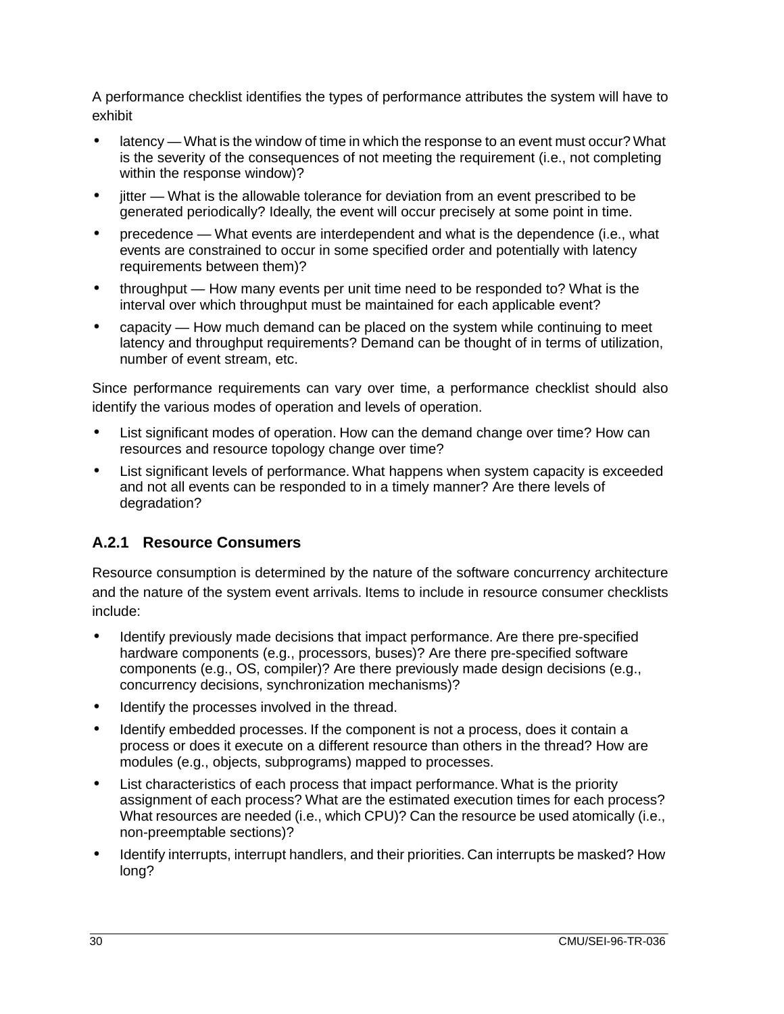<span id="page-37-0"></span>A performance checklist identifies the types of performance attributes the system will have to exhibit

- latency What is the window of time in which the response to an event must occur? What is the severity of the consequences of not meeting the requirement (i.e., not completing within the response window)?
- jitter What is the allowable tolerance for deviation from an event prescribed to be generated periodically? Ideally, the event will occur precisely at some point in time.
- precedence What events are interdependent and what is the dependence (i.e., what events are constrained to occur in some specified order and potentially with latency requirements between them)?
- throughput How many events per unit time need to be responded to? What is the interval over which throughput must be maintained for each applicable event?
- capacity How much demand can be placed on the system while continuing to meet latency and throughput requirements? Demand can be thought of in terms of utilization, number of event stream, etc.

Since performance requirements can vary over time, a performance checklist should also identify the various modes of operation and levels of operation.

- List significant modes of operation. How can the demand change over time? How can resources and resource topology change over time?
- List significant levels of performance. What happens when system capacity is exceeded and not all events can be responded to in a timely manner? Are there levels of degradation?

#### **A.2.1 Resource Consumers**

Resource consumption is determined by the nature of the software concurrency architecture and the nature of the system event arrivals. Items to include in resource consumer checklists include:

- Identify previously made decisions that impact performance. Are there pre-specified hardware components (e.g., processors, buses)? Are there pre-specified software components (e.g., OS, compiler)? Are there previously made design decisions (e.g., concurrency decisions, synchronization mechanisms)?
- Identify the processes involved in the thread.
- Identify embedded processes. If the component is not a process, does it contain a process or does it execute on a different resource than others in the thread? How are modules (e.g., objects, subprograms) mapped to processes.
- List characteristics of each process that impact performance. What is the priority assignment of each process? What are the estimated execution times for each process? What resources are needed (i.e., which CPU)? Can the resource be used atomically (i.e., non-preemptable sections)?
- Identify interrupts, interrupt handlers, and their priorities. Can interrupts be masked? How long?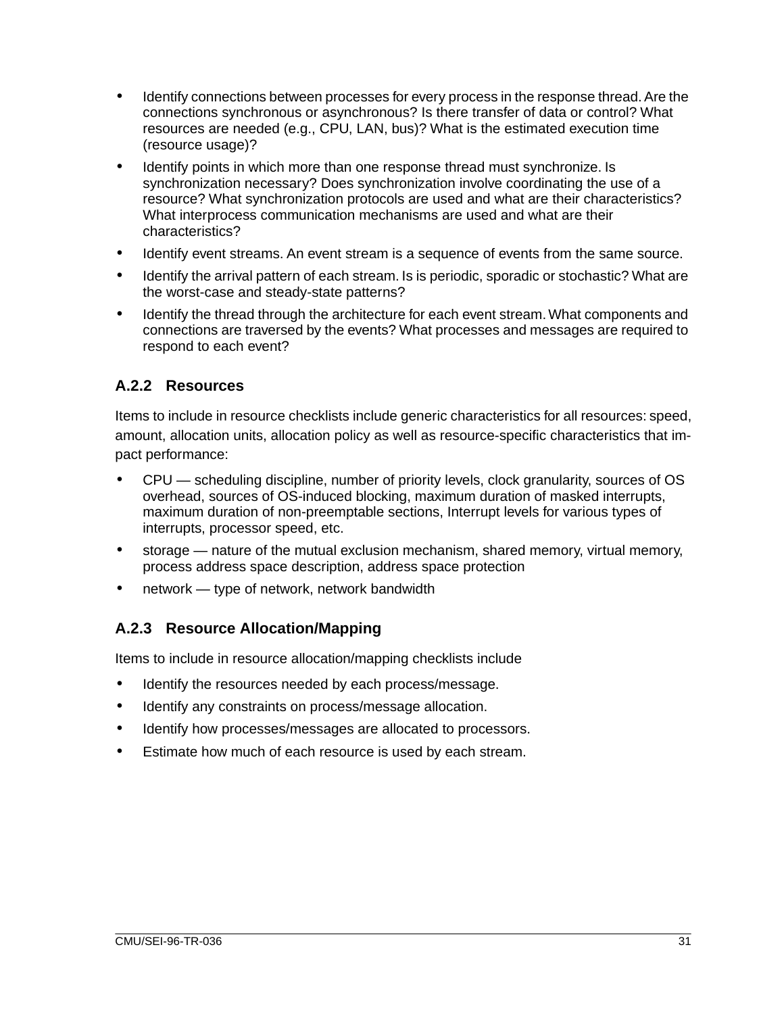- <span id="page-38-0"></span>• Identify connections between processes for every process in the response thread. Are the connections synchronous or asynchronous? Is there transfer of data or control? What resources are needed (e.g., CPU, LAN, bus)? What is the estimated execution time (resource usage)?
- Identify points in which more than one response thread must synchronize. Is synchronization necessary? Does synchronization involve coordinating the use of a resource? What synchronization protocols are used and what are their characteristics? What interprocess communication mechanisms are used and what are their characteristics?
- Identify event streams. An event stream is a sequence of events from the same source.
- Identify the arrival pattern of each stream. Is is periodic, sporadic or stochastic? What are the worst-case and steady-state patterns?
- Identify the thread through the architecture for each event stream. What components and connections are traversed by the events? What processes and messages are required to respond to each event?

#### **A.2.2 Resources**

Items to include in resource checklists include generic characteristics for all resources: speed, amount, allocation units, allocation policy as well as resource-specific characteristics that impact performance:

- CPU scheduling discipline, number of priority levels, clock granularity, sources of OS overhead, sources of OS-induced blocking, maximum duration of masked interrupts, maximum duration of non-preemptable sections, Interrupt levels for various types of interrupts, processor speed, etc.
- storage nature of the mutual exclusion mechanism, shared memory, virtual memory, process address space description, address space protection
- network type of network, network bandwidth

#### **A.2.3 Resource Allocation/Mapping**

Items to include in resource allocation/mapping checklists include

- Identify the resources needed by each process/message.
- Identify any constraints on process/message allocation.
- Identify how processes/messages are allocated to processors.
- Estimate how much of each resource is used by each stream.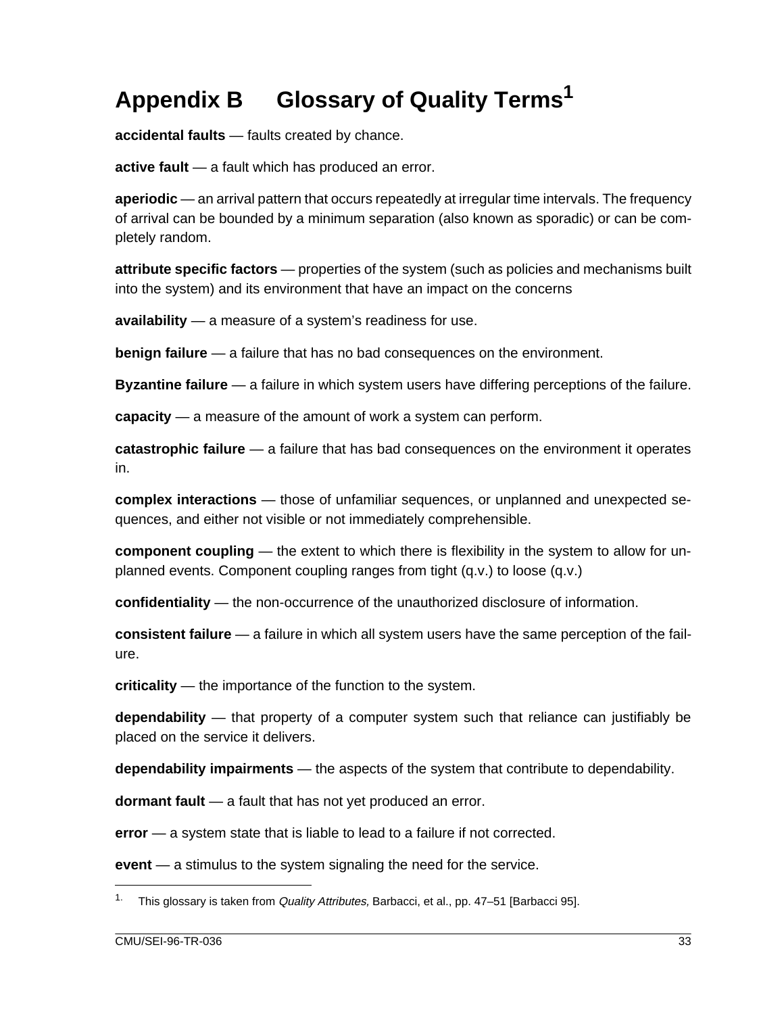# <span id="page-40-0"></span>**Appendix B Glossary of Quality Terms1**

**accidental faults** — faults created by chance.

**active fault** — a fault which has produced an error.

**aperiodic** — an arrival pattern that occurs repeatedly at irregular time intervals. The frequency of arrival can be bounded by a minimum separation (also known as sporadic) or can be completely random.

**attribute specific factors** — properties of the system (such as policies and mechanisms built into the system) and its environment that have an impact on the concerns

**availability** — a measure of a system's readiness for use.

**benign failure** — a failure that has no bad consequences on the environment.

**Byzantine failure** — a failure in which system users have differing perceptions of the failure.

**capacity** — a measure of the amount of work a system can perform.

**catastrophic failure** — a failure that has bad consequences on the environment it operates in.

**complex interactions** — those of unfamiliar sequences, or unplanned and unexpected sequences, and either not visible or not immediately comprehensible.

**component coupling** — the extent to which there is flexibility in the system to allow for unplanned events. Component coupling ranges from tight (q.v.) to loose (q.v.)

**confidentiality** — the non-occurrence of the unauthorized disclosure of information.

**consistent failure** — a failure in which all system users have the same perception of the failure.

**criticality** — the importance of the function to the system.

**dependability** — that property of a computer system such that reliance can justifiably be placed on the service it delivers.

**dependability impairments** — the aspects of the system that contribute to dependability.

**dormant fault** — a fault that has not yet produced an error.

**error** — a system state that is liable to lead to a failure if not corrected.

**event** — a stimulus to the system signaling the need for the service.

<sup>&</sup>lt;sup>1.</sup> This glossary is taken from *Quality Attributes*, Barbacci, et al., pp. 47–51 [Barbacci 95].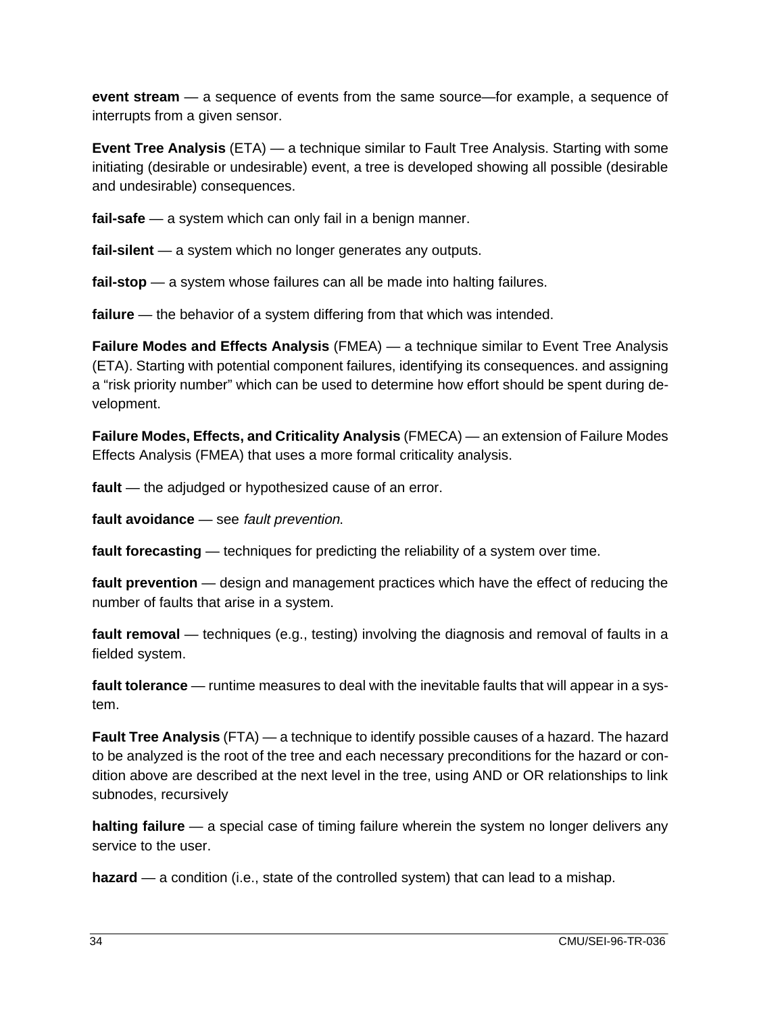**event stream** — a sequence of events from the same source—for example, a sequence of interrupts from a given sensor.

**Event Tree Analysis** (ETA) — a technique similar to Fault Tree Analysis. Starting with some initiating (desirable or undesirable) event, a tree is developed showing all possible (desirable and undesirable) consequences.

**fail-safe** — a system which can only fail in a benign manner.

**fail-silent** — a system which no longer generates any outputs.

**fail-stop** — a system whose failures can all be made into halting failures.

**failure** — the behavior of a system differing from that which was intended.

**Failure Modes and Effects Analysis** (FMEA) — a technique similar to Event Tree Analysis (ETA). Starting with potential component failures, identifying its consequences. and assigning a "risk priority number" which can be used to determine how effort should be spent during development.

**Failure Modes, Effects, and Criticality Analysis** (FMECA) — an extension of Failure Modes Effects Analysis (FMEA) that uses a more formal criticality analysis.

**fault** — the adjudged or hypothesized cause of an error.

**fault avoidance** — see fault prevention.

**fault forecasting** — techniques for predicting the reliability of a system over time.

**fault prevention** — design and management practices which have the effect of reducing the number of faults that arise in a system.

**fault removal** — techniques (e.g., testing) involving the diagnosis and removal of faults in a fielded system.

**fault tolerance** — runtime measures to deal with the inevitable faults that will appear in a system.

**Fault Tree Analysis** (FTA) — a technique to identify possible causes of a hazard. The hazard to be analyzed is the root of the tree and each necessary preconditions for the hazard or condition above are described at the next level in the tree, using AND or OR relationships to link subnodes, recursively

**halting failure** — a special case of timing failure wherein the system no longer delivers any service to the user.

**hazard** — a condition (i.e., state of the controlled system) that can lead to a mishap.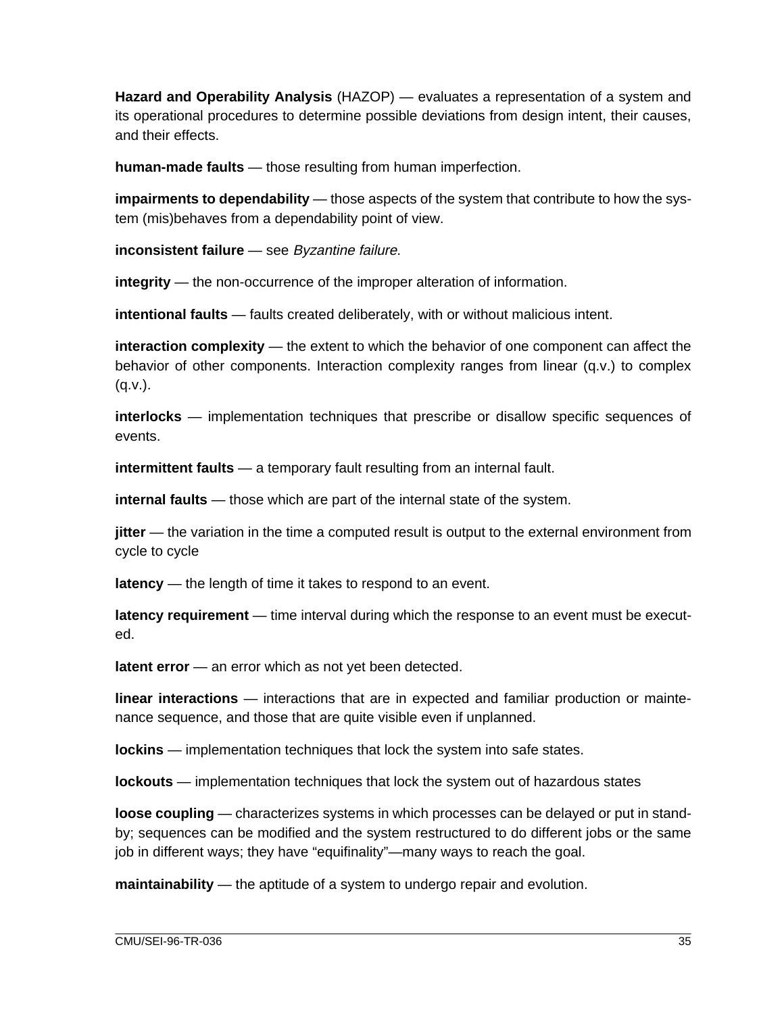**Hazard and Operability Analysis** (HAZOP) — evaluates a representation of a system and its operational procedures to determine possible deviations from design intent, their causes, and their effects.

**human-made faults** — those resulting from human imperfection.

**impairments to dependability** — those aspects of the system that contribute to how the system (mis)behaves from a dependability point of view.

**inconsistent failure** — see Byzantine failure.

**integrity** — the non-occurrence of the improper alteration of information.

**intentional faults** — faults created deliberately, with or without malicious intent.

**interaction complexity** — the extent to which the behavior of one component can affect the behavior of other components. Interaction complexity ranges from linear (q.v.) to complex  $(q.v.)$ .

**interlocks** — implementation techniques that prescribe or disallow specific sequences of events.

**intermittent faults** — a temporary fault resulting from an internal fault.

**internal faults** — those which are part of the internal state of the system.

**jitter** — the variation in the time a computed result is output to the external environment from cycle to cycle

**latency** — the length of time it takes to respond to an event.

**latency requirement** — time interval during which the response to an event must be executed.

**latent error** — an error which as not yet been detected.

**linear interactions** — interactions that are in expected and familiar production or maintenance sequence, and those that are quite visible even if unplanned.

**lockins** — implementation techniques that lock the system into safe states.

**lockouts** — implementation techniques that lock the system out of hazardous states

**loose coupling** — characterizes systems in which processes can be delayed or put in standby; sequences can be modified and the system restructured to do different jobs or the same job in different ways; they have "equifinality"—many ways to reach the goal.

**maintainability** — the aptitude of a system to undergo repair and evolution.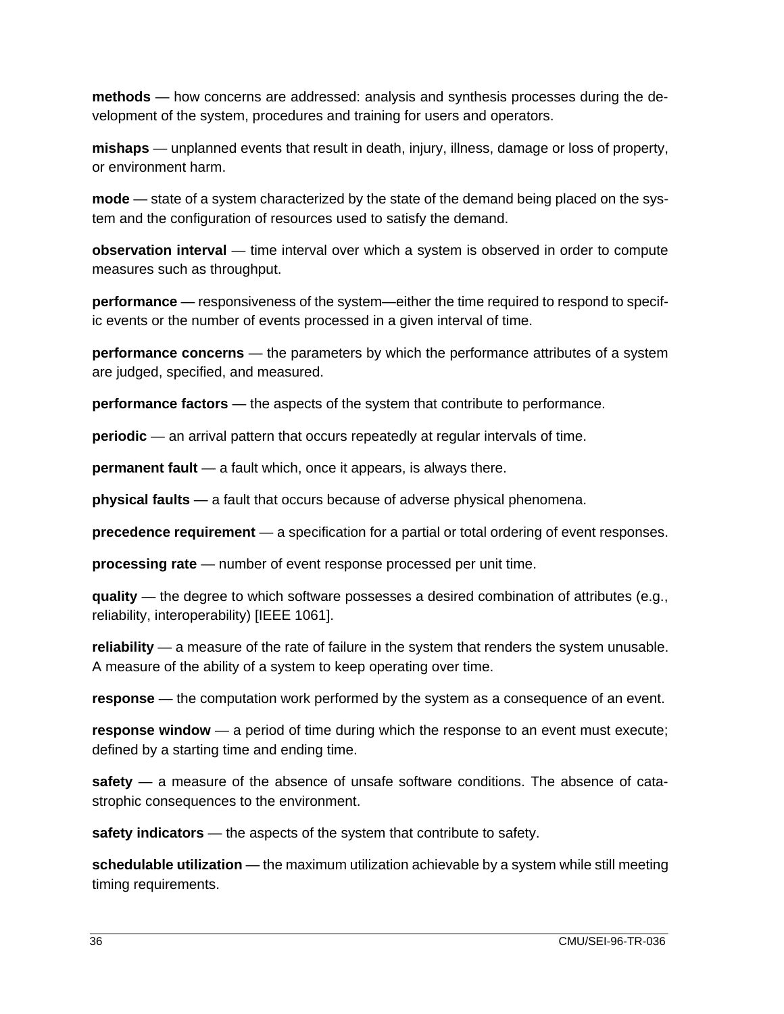**methods** — how concerns are addressed: analysis and synthesis processes during the development of the system, procedures and training for users and operators.

**mishaps** — unplanned events that result in death, injury, illness, damage or loss of property, or environment harm.

**mode** — state of a system characterized by the state of the demand being placed on the system and the configuration of resources used to satisfy the demand.

**observation interval** — time interval over which a system is observed in order to compute measures such as throughput.

**performance** — responsiveness of the system—either the time required to respond to specific events or the number of events processed in a given interval of time.

**performance concerns** — the parameters by which the performance attributes of a system are judged, specified, and measured.

**performance factors** — the aspects of the system that contribute to performance.

**periodic** — an arrival pattern that occurs repeatedly at regular intervals of time.

**permanent fault** — a fault which, once it appears, is always there.

**physical faults** — a fault that occurs because of adverse physical phenomena.

**precedence requirement** — a specification for a partial or total ordering of event responses.

**processing rate** — number of event response processed per unit time.

**quality** — the degree to which software possesses a desired combination of attributes (e.g., reliability, interoperability) [IEEE 1061].

**reliability** — a measure of the rate of failure in the system that renders the system unusable. A measure of the ability of a system to keep operating over time.

**response** — the computation work performed by the system as a consequence of an event.

**response window** — a period of time during which the response to an event must execute; defined by a starting time and ending time.

**safety** — a measure of the absence of unsafe software conditions. The absence of catastrophic consequences to the environment.

**safety indicators** — the aspects of the system that contribute to safety.

**schedulable utilization** — the maximum utilization achievable by a system while still meeting timing requirements.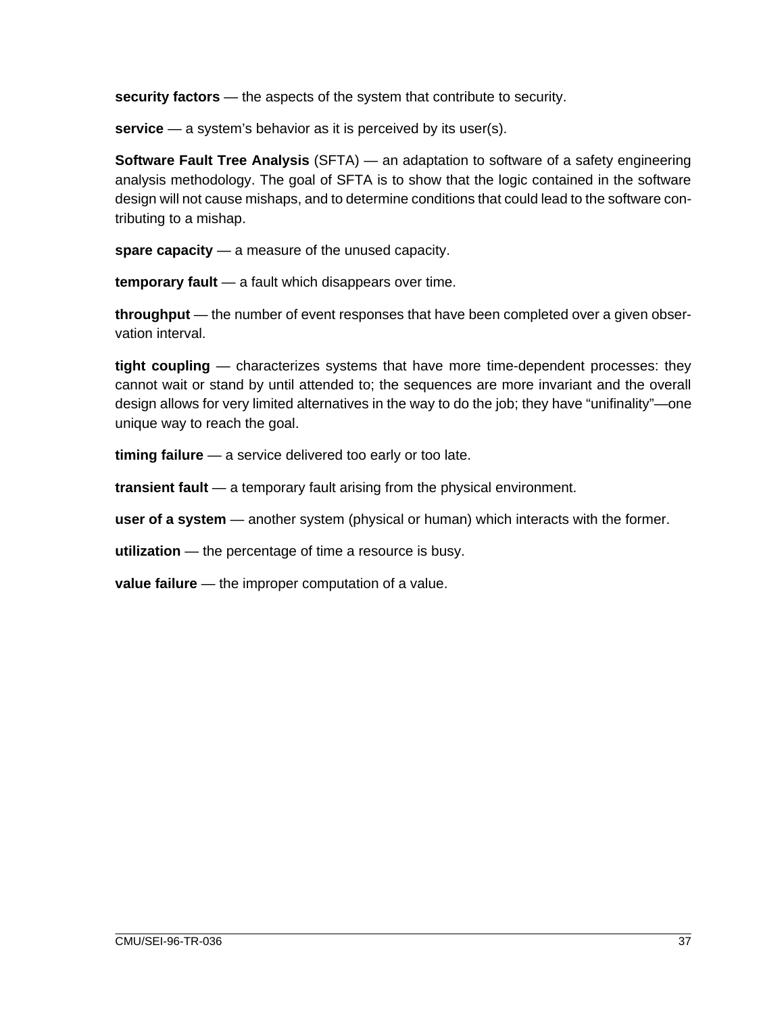**security factors** — the aspects of the system that contribute to security.

**service** — a system's behavior as it is perceived by its user(s).

**Software Fault Tree Analysis** (SFTA) — an adaptation to software of a safety engineering analysis methodology. The goal of SFTA is to show that the logic contained in the software design will not cause mishaps, and to determine conditions that could lead to the software contributing to a mishap.

**spare capacity** — a measure of the unused capacity.

**temporary fault** — a fault which disappears over time.

**throughput** — the number of event responses that have been completed over a given observation interval.

**tight coupling** — characterizes systems that have more time-dependent processes: they cannot wait or stand by until attended to; the sequences are more invariant and the overall design allows for very limited alternatives in the way to do the job; they have "unifinality"—one unique way to reach the goal.

**timing failure** — a service delivered too early or too late.

**transient fault** — a temporary fault arising from the physical environment.

**user of a system** — another system (physical or human) which interacts with the former.

**utilization** — the percentage of time a resource is busy.

**value failure** — the improper computation of a value.